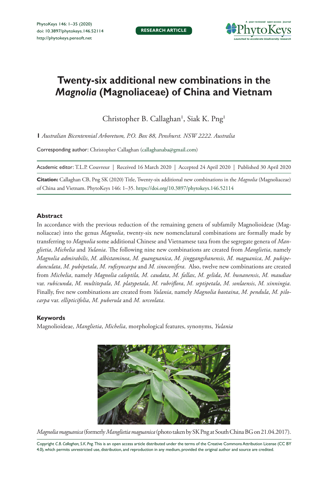

# **Twenty-six additional new combinations in the**  *Magnolia* **(Magnoliaceae) of China and Vietnam**

Christopher B. Callaghan<sup>1</sup>, Siak K. Png<sup>1</sup>

**1** *Australian Bicentennial Arboretum, P.O. Box 88, Penshurst. NSW 2222. Australia* 

Corresponding author: Christopher Callaghan ([callaghanaba@gmail.com\)](mailto:callaghanaba@gmail.com)

Academic editor: T.L.P. Couvreur | Received 16 March 2020 | Accepted 24 April 2020 | Published 30 April 2020

**Citation:** Callaghan CB, Png SK (2020) Title, Twenty-six additional new combinations in the *Magnolia* (Magnoliaceae) of China and Vietnam. PhytoKeys 146: 1–35.<https://doi.org/10.3897/phytokeys.146.52114>

#### **Abstract**

In accordance with the previous reduction of the remaining genera of subfamily Magnolioideae (Magnoliaceae) into the genus *Magnolia*, twenty-six new nomenclatural combinations are formally made by transferring to *Magnolia* some additional Chinese and Vietnamese taxa from the segregate genera of *Manglietia*, *Michelia* and *Yulania*. The following nine new combinations are created from *Manglietia*, namely *Magnolia admirabilis*, *M. albistaminea*, *M. guangnanica*, *M. jinggangshanensis*, *M. maguanica*, *M. pubipedunculata*, *M. pubipetala*, *M. rufisyncarpa* and *M. sinoconifera*. Also, twelve new combinations are created from *Michelia*, namely *Magnolia caloptila, M. caudata*, *M. fallax*, *M. gelida*, *M. hunanensis*, *M. maudiae* var. *rubicunda*, *M. multitepala*, *M. platypetala*, *M. rubriflora*, *M. septipetala*, *M. sonlaensis*, *M. xinningia*. Finally, five new combinations are created from *Yulania*, namely *Magnolia baotaina*, *M. pendula*, *M. pilocarpa* var. *ellipticifolia*, *M. puberula* and *M. urceolata*.

#### **Keywords**

Magnolioideae, *Manglietia*, *Michelia*, morphological features, synonyms, *Yulania*



*Magnolia maguanica* (formerly *Manglietia maguanica* (photo taken by SK Png at South China BG on 21.04.2017).

Copyright *C.B. Callaghan, S.K. Png.* This is an open access article distributed under the terms of the [Creative Commons Attribution License \(CC BY](http://creativecommons.org/licenses/by/4.0/)  [4.0\),](http://creativecommons.org/licenses/by/4.0/) which permits unrestricted use, distribution, and reproduction in any medium, provided the original author and source are credited.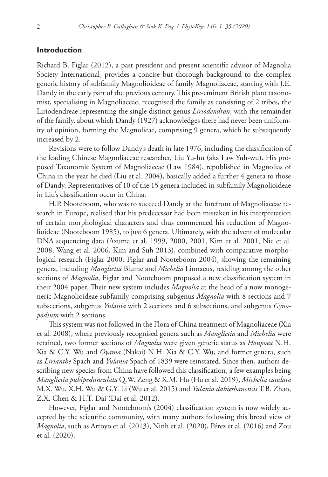#### **Introduction**

Richard B. Figlar (2012), a past president and present scientific advisor of Magnolia Society International, provides a concise but thorough background to the complex generic history of subfamily Magnolioideae of family Magnoliaceae, starting with J.E. Dandy in the early part of the previous century. This pre-eminent British plant taxonomist, specialising in Magnoliaceae, recognised the family as consisting of 2 tribes, the Liriodendreae representing the single distinct genus *Liriodendron*, with the remainder of the family, about which Dandy (1927) acknowledges there had never been uniformity of opinion, forming the Magnolieae, comprising 9 genera, which he subsequently increased by 2.

Revisions were to follow Dandy's death in late 1976, including the classification of the leading Chinese Magnoliaceae researcher, Liu Yu-hu (aka Law Yuh-wu). His proposed Taxonomic System of Magnoliaceae (Law 1984), republished in Magnolias of China in the year he died (Liu et al. 2004), basically added a further 4 genera to those of Dandy. Representatives of 10 of the 15 genera included in subfamily Magnolioideae in Liu's classification occur in China.

H.P. Nooteboom, who was to succeed Dandy at the forefront of Magnoliaceae research in Europe, realised that his predecessor had been mistaken in his interpretation of certain morphological characters and thus commenced his reduction of Magnolioideae (Nooteboom 1985), to just 6 genera. Ultimately, with the advent of molecular DNA sequencing data (Azuma et al. 1999, 2000, 2001, Kim et al. 2001, Nie et al. 2008, Wang et al. 2006, Kim and Suh 2013), combined with comparative morphological research (Figlar 2000, Figlar and Nooteboom 2004), showing the remaining genera, including *Manglietia* Blume and *Michelia* Linnaeus, residing among the other sections of *Magnolia*, Figlar and Nooteboom proposed a new classification system in their 2004 paper. Their new system includes *Magnolia* at the head of a now monogeneric Magnolioideae subfamily comprising subgenus *Magnolia* with 8 sections and 7 subsections, subgenus *Yulania* with 2 sections and 6 subsections, and subgenus *Gynopodium* with 2 sections.

This system was not followed in the Flora of China treatment of Magnoliaceae (Xia et al. 2008), where previously recognised genera such as *Manglietia* and *Michelia* were retained, two former sections of *Magnolia* were given generic status as *Houpoea* N.H. Xia & C.Y. Wu and *Oyama* (Nakai) N.H. Xia & C.Y. Wu, and former genera, such as *Lirianthe* Spach and *Yulania* Spach of 1839 were reinstated. Since then, authors describing new species from China have followed this classification, a few examples being *Manglietia pubipedunculata* Q.W. Zeng & X.M. Hu (Hu et al. 2019), *Michelia caudata* M.X. Wu, X.H. Wu & G.Y. Li (Wu et al. 2015) and *Yulania dabieshanensis* T.B. Zhao, Z.X. Chen & H.T. Dai (Dai et al. 2012).

However, Figlar and Nooteboom's (2004) classification system is now widely accepted by the scientific community, with many authors following this broad view of *Magnolia*, such as Arroyo et al. (2013), Ninh et al. (2020), Pérez et al. (2016) and Zou et al. (2020).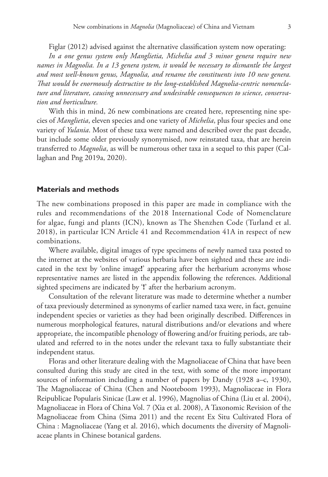Figlar (2012) advised against the alternative classification system now operating:

*In a one genus system only Manglietia, Michelia and 3 minor genera require new names in Magnolia. In a 13 genera system, it would be necessary to dismantle the largest and most well-known genus, Magnolia, and rename the constituents into 10 new genera. That would be enormously destructive to the long-established Magnolia-centric nomenclature and literature, causing unnecessary and undesirable consequences to science, conservation and horticulture.*

With this in mind, 26 new combinations are created here, representing nine species of *Manglietia*, eleven species and one variety of *Michelia*, plus four species and one variety of *Yulania*. Most of these taxa were named and described over the past decade, but include some older previously synonymised, now reinstated taxa, that are herein transferred to *Magnolia*, as will be numerous other taxa in a sequel to this paper (Callaghan and Png 2019a, 2020).

#### **Materials and methods**

The new combinations proposed in this paper are made in compliance with the rules and recommendations of the 2018 International Code of Nomenclature for algae, fungi and plants (ICN), known as The Shenzhen Code (Turland et al. 2018), in particular ICN Article 41 and Recommendation 41A in respect of new combinations.

Where available, digital images of type specimens of newly named taxa posted to the internet at the websites of various herbaria have been sighted and these are indicated in the text by 'online image**!**' appearing after the herbarium acronyms whose representative names are listed in the appendix following the references. Additional sighted specimens are indicated by '**!**' after the herbarium acronym.

Consultation of the relevant literature was made to determine whether a number of taxa previously determined as synonyms of earlier named taxa were, in fact, genuine independent species or varieties as they had been originally described. Differences in numerous morphological features, natural distributions and/or elevations and where appropriate, the incompatible phenology of flowering and/or fruiting periods, are tabulated and referred to in the notes under the relevant taxa to fully substantiate their independent status.

Floras and other literature dealing with the Magnoliaceae of China that have been consulted during this study are cited in the text, with some of the more important sources of information including a number of papers by Dandy (1928 a–c, 1930), The Magnoliaceae of China (Chen and Nooteboom 1993), Magnoliaceae in Flora Reipublicae Popularis Sinicae (Law et al. 1996), Magnolias of China (Liu et al. 2004), Magnoliaceae in Flora of China Vol. 7 (Xia et al. 2008), A Taxonomic Revision of the Magnoliaceae from China (Sima 2011) and the recent Ex Situ Cultivated Flora of China : Magnoliaceae (Yang et al. 2016), which documents the diversity of Magnoliaceae plants in Chinese botanical gardens.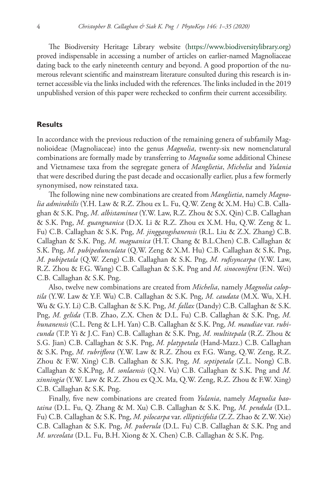The Biodiversity Heritage Library website ([https://www.biodiversitylibrary.org\)](https://www.biodiversitylibrary.org) proved indispensable in accessing a number of articles on earlier-named Magnoliaceae dating back to the early nineteenth century and beyond. A good proportion of the numerous relevant scientific and mainstream literature consulted during this research is internet accessible via the links included with the references. The links included in the 2019 unpublished version of this paper were rechecked to confirm their current accessibility.

### **Results**

In accordance with the previous reduction of the remaining genera of subfamily Magnolioideae (Magnoliaceae) into the genus *Magnolia*, twenty-six new nomenclatural combinations are formally made by transferring to *Magnolia* some additional Chinese and Vietnamese taxa from the segregate genera of *Manglietia*, *Michelia* and *Yulania*  that were described during the past decade and occasionally earlier, plus a few formerly synonymised, now reinstated taxa.

The following nine new combinations are created from *Manglietia*, namely *Magnolia admirabilis* (Y.H. Law & R.Z. Zhou ex L. Fu, Q.W. Zeng & X.M. Hu) C.B. Callaghan & S.K. Png, *M. albistaminea* (Y.W. Law, R.Z. Zhou & S.X. Qin) C.B. Callaghan & S.K. Png, *M. guangnanica* (D.X. Li & R.Z. Zhou ex X.M. Hu, Q.W. Zeng & L. Fu) C.B. Callaghan & S.K. Png, *M. jinggangshanensis* (R.L. Liu & Z.X. Zhang) C.B. Callaghan & S.K. Png, *M. maguanica* (H.T. Chang & B.L.Chen) C.B. Callaghan & S.K. Png, *M. pubipedunculata* (Q.W. Zeng & X.M. Hu) C.B. Callaghan & S.K. Png, *M. pubipetala* (Q.W. Zeng) C.B. Callaghan & S.K. Png, *M. rufisyncarpa* (Y.W. Law, R.Z. Zhou & F.G. Wang) C.B. Callaghan & S.K. Png and *M. sinoconifera* (F.N. Wei) C.B. Callaghan & S.K. Png.

Also, twelve new combinations are created from *Michelia*, namely *Magnolia caloptila* (Y.W. Law & Y.F. Wu) C.B. Callaghan & S.K. Png, *M. caudata* (M.X. Wu, X.H. Wu & G.Y. Li) C.B. Callaghan & S.K. Png, *M. fallax* (Dandy) C.B. Callaghan & S.K. Png, *M. gelida* (T.B. Zhao, Z.X. Chen & D.L. Fu) C.B. Callaghan & S.K. Png, *M. hunanensis* (C.L. Peng & L.H. Yan) C.B. Callaghan & S.K. Png, *M. maudiae* var. *rubicunda* (T.P. Yi & J.C. Fan) C.B. Callaghan & S.K. Png, *M. multitepala* (R.Z. Zhou & S.G. Jian) C.B. Callaghan & S.K. Png, *M. platypetala* (Hand-Mazz.) C.B. Callaghan & S.K. Png, *M. rubriflora* (Y.W. Law & R.Z. Zhou ex F.G. Wang, Q.W. Zeng, R.Z. Zhou & F.W. Xing) C.B. Callaghan & S.K. Png, *M. septipetala* (Z.L. Nong) C.B. Callaghan & S.K.Png, *M. sonlaensis* (Q.N. Vu) C.B. Callaghan & S.K. Png and *M. xinningia* (Y.W. Law & R.Z. Zhou ex Q.X. Ma, Q.W. Zeng, R.Z. Zhou & F.W. Xing) C.B. Callaghan & S.K. Png.

Finally, five new combinations are created from *Yulania*, namely *Magnolia baotaina* (D.L. Fu, Q. Zhang & M. Xu) C.B. Callaghan & S.K. Png, *M. pendula* (D.L. Fu) C.B. Callaghan & S.K. Png, *M. pilocarpa* var. *ellipticifolia* (Z.Z. Zhao & Z.W. Xie) C.B. Callaghan & S.K. Png, *M. puberula* (D.L. Fu) C.B. Callaghan & S.K. Png and *M. urceolata* (D.L. Fu, B.H. Xiong & X. Chen) C.B. Callaghan & S.K. Png.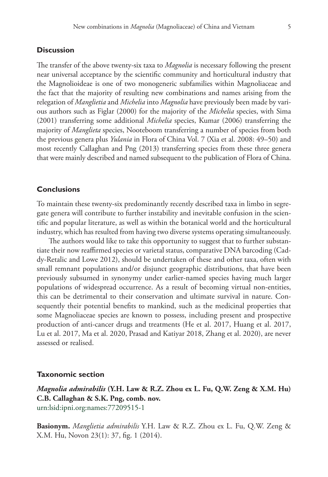#### **Discussion**

The transfer of the above twenty-six taxa to *Magnolia* is necessary following the present near universal acceptance by the scientific community and horticultural industry that the Magnolioideae is one of two monogeneric subfamilies within Magnoliaceae and the fact that the majority of resulting new combinations and names arising from the relegation of *Manglietia* and *Michelia* into *Magnolia* have previously been made by various authors such as Figlar (2000) for the majority of the *Michelia* species, with Sima (2001) transferring some additional *Michelia* species, Kumar (2006) transferring the majority of *Manglieta* species, Nooteboom transferring a number of species from both the previous genera plus *Yulania* in Flora of China Vol. 7 (Xia et al. 2008: 49–50) and most recently Callaghan and Png (2013) transferring species from these three genera that were mainly described and named subsequent to the publication of Flora of China.

### **Conclusions**

To maintain these twenty-six predominantly recently described taxa in limbo in segregate genera will contribute to further instability and inevitable confusion in the scientific and popular literature, as well as within the botanical world and the horticultural industry, which has resulted from having two diverse systems operating simultaneously.

The authors would like to take this opportunity to suggest that to further substantiate their now reaffirmed species or varietal status, comparative DNA barcoding (Caddy-Retalic and Lowe 2012), should be undertaken of these and other taxa, often with small remnant populations and/or disjunct geographic distributions, that have been previously subsumed in synonymy under earlier-named species having much larger populations of widespread occurrence. As a result of becoming virtual non-entities, this can be detrimental to their conservation and ultimate survival in nature. Consequently their potential benefits to mankind, such as the medicinal properties that some Magnoliaceae species are known to possess, including present and prospective production of anti-cancer drugs and treatments (He et al. 2017, Huang et al. 2017, Lu et al. 2017, Ma et al. 2020, Prasad and Katiyar 2018, Zhang et al. 2020), are never assessed or realised.

#### **Taxonomic section**

*Magnolia admirabilis* **(Y.H. Law & R.Z. Zhou ex L. Fu, Q.W. Zeng & X.M. Hu) C.B. Callaghan & S.K. Png, comb. nov.** [urn:lsid:ipni.org:names:77209515-1](http://ipni.org/urn:lsid:ipni.org:names:77209515-1)

**Basionym.** *Manglietia admirabilis* Y.H. Law & R.Z. Zhou ex L. Fu, Q.W. Zeng & X.M. Hu, Novon 23(1): 37, fig. 1 (2014).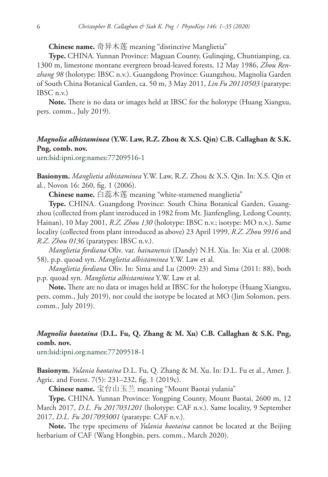**Chinese name.** 奇异木莲 meaning "distinctive Manglietia"

**Type.** CHINA. Yunnan Province: Maguan County, Gulinqing, Chuntianping, ca. 1300 m, limestone montane evergreen broad-leaved forests, 12 May 1986, *Zhou Renzhang 98* (holotype: IBSC n.v.). Guangdong Province: Guangzhou, Magnolia Garden of South China Botanical Garden, ca. 50 m, 3 May 2011, *Lin Fu 20110503* (paratype: IBSC n.v.)

**Note.** There is no data or images held at IBSC for the holotype (Huang Xiangxu, pers. comm., July 2019).

# *Magnolia albistaminea* **(Y.W. Law, R.Z. Zhou & X.S. Qin) C.B. Callaghan & S.K. Png, comb. nov.**

[urn:lsid:ipni.org:names:77209516-1](http://ipni.org/urn:lsid:ipni.org:names:77209516-1)

**Basionym.** *Manglietia albistaminea* Y.W. Law, R.Z. Zhou & X.S. Qin. In: X.S. Qin et al*.*, Novon 16: 260, fig. 1 (2006).

**Chinese name.** 白蕊木莲 meaning "white-stamened manglietia"

**Type.** CHINA. Guangdong Province: South China Botanical Garden, Guangzhou (collected from plant introduced in 1982 from Mt. Jianfengling, Ledong County, Hainan), 10 May 2001, *R.Z. Zhou 130* (holotype: IBSC n.v.; isotype: MO n.v.). Same locality (collected from plant introduced as above) 23 April 1999, *R.Z. Zhou 9916* and *R.Z. Zhou 0136* (paratypes: IBSC n.v.).

*Manglietia fordiana* Oliv. var. *hainanensis* (Dandy) N.H. Xia. In: Xia et al. (2008: 58), p.p. quoad syn. *Manglietia albistaminea* Y.W. Law et al.

*Manglietia fordiana* Oliv. In: Sima and Lu (2009: 23) and Sima (2011: 88), both p.p. quoad syn. *Manglietia albistaminea* Y.W. Law et al.

**Note.** There are no data or images held at IBSC for the holotype (Huang Xiangxu, pers. comm., July 2019), nor could the isotype be located at MO (Jim Solomon, pers. comm., July 2019).

# *Magnolia baotaina* **(D.L. Fu, Q. Zhang & M. Xu) C.B. Callaghan & S.K. Png, comb. nov.**

[urn:lsid:ipni.org:names:77209518-1](http://ipni.org/urn:lsid:ipni.org:names:77209518-1)

**Basionym.** *Yulania baotaina* D.L. Fu, Q. Zhang & M. Xu. In: D.L. Fu et al., Amer. J. Agric. and Forest. 7(5): 231–232, fig. 1 (2019c).

**Chinese name.** 宝台山玉兰 meaning "Mount Baotai yulania"

**Type.** CHINA. Yunnan Province: Yongping County, Mount Baotai, 2600 m, 12 March 2017, *D.L. Fu 2017031201* (holotype: CAF n.v.). Same locality, 9 September 2017, *D.L. Fu 2017093001* (paratype: CAF n.v.).

**Note.** The type specimens of *Yulania baotaina* cannot be located at the Beijing herbarium of CAF (Wang Hongbin, pers. comm., March 2020).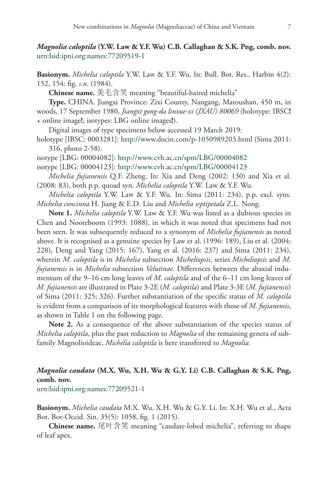*Magnolia caloptila* **(Y.W. Law & Y.F. Wu) C.B. Callaghan & S.K. Png, comb. nov.** [urn:lsid:ipni.org:names:77209519-1](http://ipni.org/urn:lsid:ipni.org:names:77209519-1)

**Basionym.** *Michelia caloptila* Y.W. Law & Y.F. Wu. In: Bull. Bot. Res., Harbin 4(2): 152, 154: fig. *s.n.* (1984).

**Chinese name.** 美毛含笑 meaning "beautiful-haired michelia"

**Type.** CHINA. Jiangxi Province: Zixi County, Nangang, Matoushan, 450 m, in woods, 17 September 1980, *Jiangxi gong-da linxue-xi (JXAU) 80069* (holotype: IBSC**!** + online image**!**; isotypes: LBG online images**!**).

Digital images of type specimens below accessed 19 March 2019:

holotype [IBSC: 0003281]: <http://www.docin.com/p-1050989203.html> (Sima 2011: 316, photo 2-58).

isotype [LBG: 00004082]:<http://www.cvh.ac.cn/spm/LBG/00004082>

isotype [LBG: 00004123]:<http://www.cvh.ac.cn/spm/LBG/00004123>

*Michelia fujianensis* Q.F. Zheng. In: Xia and Deng (2002: 130) and Xia et al. (2008: 83), both p.p. quoad syn. *Michelia caloptila* Y.W. Law & Y.F. Wu.

*Michelia caloptila* Y.W. Law & Y.F. Wu. In: Sima (2011: 234), p.p. excl. syns. *Michelia concinna* H. Jiang & E.D. Liu and *Michelia septipetala* Z.L. Nong.

**Note 1.** *Michelia caloptila* Y.W. Law & Y.F. Wu was listed as a dubious species in Chen and Nooteboom (1993: 1088), in which it was noted that specimens had not been seen. It was subsequently reduced to a synonym of *Michelia fujianensis* as noted above. It is recognised as a genuine species by Law et al. (1996: 189), Liu et al. (2004: 228), Deng and Yang (2015: 167), Yang et al. (2016: 237) and Sima (2011: 234), wherein *M. caloptila* is in *Michelia* subsection *Micheliopsis*, series *Micheliopsis* and *M. fujianensis* is in *Michelia* subsection *Velutinae*. Differences between the abaxial indumentum of the 9–16 cm long leaves of *M. caloptila* and of the 6–11 cm long leaves of *M. fujianensis* are illustrated in Plate 3-2E (*M. caloptila*) and Plate 3-3E (*M. fujianensis*) of Sima (2011: 325; 326). Further substantiation of the specific status of *M. caloptila* is evident from a comparison of its morphological features with those of *M. fujianensis*, as shown in Table 1 on the following page.

**Note 2.** As a consequence of the above substantiation of the species status of *Michelia caloptila*, plus the past reduction to *Magnolia* of the remaining genera of subfamily Magnolioideae, *Michelia caloptila* is here transferred to *Magnolia*.

# *Magnolia caudata* **(M.X. Wu, X.H. Wu & G.Y. Li) C.B. Callaghan & S.K. Png, comb. nov.**

[urn:lsid:ipni.org:names:77209521-1](http://ipni.org/urn:lsid:ipni.org:names:77209521-1)

**Basionym.** *Michelia caudata* M.X. Wu, X.H. Wu & G.Y. Li. In: X.H. Wu et al., Acta Bot. Bor-Occid. Sin. 35(5): 1058, fig. 1 (2015).

**Chinese name.** 尾叶含笑 meaning "caudate-lobed michelia", referring to shape of leaf apex.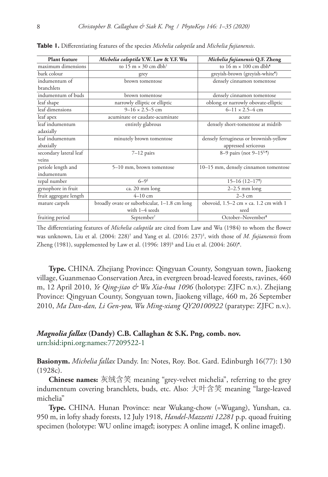| <b>Plant feature</b>   | Michelia caloptila Y.W. Law & Y.F. Wu        | Michelia fujianensis Q.F. Zheng                          |
|------------------------|----------------------------------------------|----------------------------------------------------------|
| maximum dimensions     | to 15 m $\times$ 30 cm dbh <sup>†</sup>      | to $16 \text{ m} \times 100 \text{ cm}$ dbh <sup>9</sup> |
| bark colour            | grey                                         | greyish-brown (greyish-white <sup>9</sup> )              |
| indumentum of          | brown tomentose                              | densely cinnamon tomentose                               |
| branchlets             |                                              |                                                          |
| indumentum of buds     | brown tomentose                              | densely cinnamon tomentose                               |
| leaf shape             | narrowly elliptic or elliptic                | oblong or narrowly obovate-elliptic                      |
| leaf dimensions        | $9-16 \times 2.5-5$ cm                       | $6 - 11 \times 2.5 - 4$ cm                               |
| leaf apex              | acuminate or caudate-acuminate               | acute                                                    |
| leaf indumentum        | entirely glabrous                            | densely short-tomentose at midrib                        |
| adaxially              |                                              |                                                          |
| leaf indumentum        | minutely brown tomentose                     | densely ferrugineus or brownish-yellow                   |
| abaxially              |                                              | appressed sericeous                                      |
| secondary lateral leaf | $7-12$ pairs                                 | 8-9 pairs (not 9-15 <sup>§, 1</sup> )                    |
| veins                  |                                              |                                                          |
| petiole length and     | 5-10 mm, brown tomentose                     | 10-15 mm, densely cinnamon tomentose                     |
| indumentum             |                                              |                                                          |
| tepal number           | $6 - 9^{\ddagger}$                           | $15-16(12-17)$                                           |
| gynophore in fruit     | ca. 20 mm long                               | $2-2.5$ mm long                                          |
| fruit aggregate length | $4 - 10$ cm                                  | $2-3$ cm                                                 |
| mature carpels         | broadly ovate or suborbicular, 1-1.8 cm long | obovoid, $1.5-2$ cm $\times$ ca. 1.2 cm with 1           |
|                        | with 1-4 seeds                               | seed                                                     |
| fruiting period        | September <sup>†</sup>                       | October-November <sup>9</sup>                            |

**Table 1.** Differentiating features of the species *Michelia caloptila* and *Michelia fujianensis*.

The differentiating features of *Michelia caloptila* are cited from Law and Wu (1984) to whom the flower was unknown, Liu et al. (2004: 228)† and Yang et al. (2016: 237)‡ , with those of *M. fujianensis* from Zheng (1981), supplemented by Law et al. (1996: 189)§ and Liu et al. (2004: 260)¶.

**Type.** CHINA. Zhejiang Province: Qingyuan County, Songyuan town, Jiaokeng village, Guanmenao Conservation Area, in evergreen broad-leaved forests, ravines, 460 m, 12 April 2010, *Ye Qing-jiao & Wu Xia-hua 1096* (holotype: ZJFC n.v.). Zhejiang Province: Qingyuan County, Songyuan town, Jiaokeng village, 460 m, 26 September 2010, *Ma Dan-dan, Li Gen-you, Wu Ming-xiang QY20100922* (paratype: ZJFC n.v.).

### *Magnolia fallax* **(Dandy) C.B. Callaghan & S.K. Png, comb. nov.** [urn:lsid:ipni.org:names:77209522-1](http://ipni.org/urn:lsid:ipni.org:names:77209522-1)

**Basionym.** *Michelia fallax* Dandy. In: Notes, Roy. Bot. Gard. Edinburgh 16(77): 130 (1928c).

**Chinese names:** 灰绒含笑 meaning "grey-velvet michelia", referring to the grey indumentum covering branchlets, buds, etc. Also: 大叶含笑 meaning "large-leaved michelia"

**Type.** CHINA. Hunan Province: near Wukang-chow (=Wugang), Yunshan, ca. 950 m, in lofty shady forests, 12 July 1918, *Handel-Mazzetti 12281* p.p. quoad fruiting specimen (holotype: WU online image**!**; isotypes: A online image**!**, K online image**!**).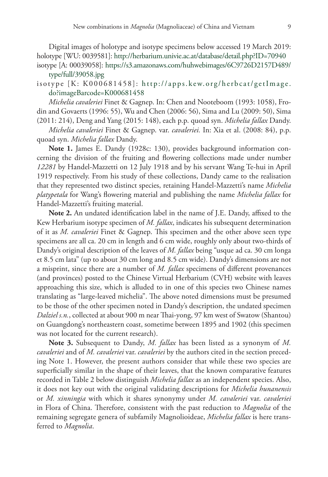Digital images of holotype and isotype specimens below accessed 19 March 2019: holotype [WU: 0039581]: <http://herbarium.univie.ac.at/database/detail.php?ID=70940> isotype [A: 00039058]: [https://s3.amazonaws.com/huhwebimages/6C9726D2157D489/](https://s3.amazonaws.com/huhwebimages/6C9726D2157D489/type/full/39058.jpg)

[type/full/39058.jpg](https://s3.amazonaws.com/huhwebimages/6C9726D2157D489/type/full/39058.jpg)

### isotype [K: K000681458]: [http://apps.kew.org/herbcat/getImage.](http://apps.kew.org/herbcat/getImage.do?imageBarcode=K000681458) [do?imageBarcode=K000681458](http://apps.kew.org/herbcat/getImage.do?imageBarcode=K000681458)

*Michelia cavaleriei* Finet & Gagnep. In: Chen and Nooteboom (1993: 1058), Frodin and Govaerts (1996: 55), Wu and Chen (2006: 56), Sima and Lu (2009: 50), Sima (2011: 214), Deng and Yang (2015: 148), each p.p. quoad syn. *Michelia fallax* Dandy.

*Michelia cavaleriei* Finet & Gagnep. var. *cavaleriei.* In: Xia et al. (2008: 84), p.p. quoad syn. *Michelia fallax* Dandy.

Note 1. James E. Dandy (1928c: 130), provides background information concerning the division of the fruiting and flowering collections made under number *12281* by Handel-Mazzetti on 12 July 1918 and by his servant Wang Te-hui in April 1919 respectively. From his study of these collections, Dandy came to the realisation that they represented two distinct species, retaining Handel-Mazzetti's name *Michelia platypetala* for Wang's flowering material and publishing the name *Michelia fallax* for Handel-Mazzetti's fruiting material.

**Note 2.** An undated identification label in the name of J.E. Dandy, affixed to the Kew Herbarium isotype specimen of *M. fallax*, indicates his subsequent determination of it as *M. cavaleriei* Finet & Gagnep. This specimen and the other above seen type specimens are all ca. 20 cm in length and 6 cm wide, roughly only about two-thirds of Dandy's original description of the leaves of *M. fallax* being "usque ad ca. 30 cm longa et 8.5 cm lata" (up to about 30 cm long and 8.5 cm wide). Dandy's dimensions are not a misprint, since there are a number of *M. fallax* specimens of different provenances (and provinces) posted to the Chinese Virtual Herbarium (CVH) website with leaves approaching this size, which is alluded to in one of this species two Chinese names translating as "large-leaved michelia". The above noted dimensions must be presumed to be those of the other specimen noted in Dandy's description, the undated specimen *Dalziel s.n.*, collected at about 900 m near Thai-yong, 97 km west of Swatow (Shantou) on Guangdong's northeastern coast, sometime between 1895 and 1902 (this specimen was not located for the current research).

**Note 3.** Subsequent to Dandy, *M. fallax* has been listed as a synonym of *M. cavaleriei* and of *M. cavaleriei* var. *cavaleriei* by the authors cited in the section preceding Note 1. However, the present authors consider that while these two species are superficially similar in the shape of their leaves, that the known comparative features recorded in Table 2 below distinguish *Michelia fallax* as an independent species. Also, it does not key out with the original validating descriptions for *Michelia hunanensis* or *M. xinningia* with which it shares synonymy under *M. cavaleriei* var. *cavaleriei*  in Flora of China. Therefore, consistent with the past reduction to *Magnolia* of the remaining segregate genera of subfamily Magnolioideae, *Michelia fallax* is here transferred to *Magnolia*.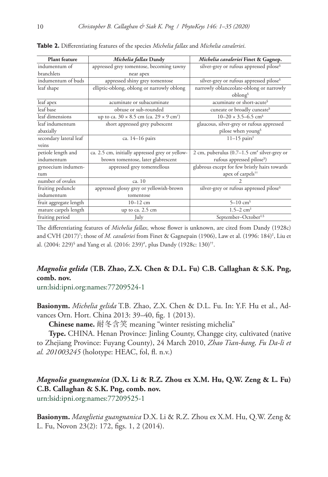| <b>Plant feature</b>   | Michelia fallax Dandy                                             | Michelia cavaleriei Finet & Gagnep.                     |
|------------------------|-------------------------------------------------------------------|---------------------------------------------------------|
| indumentum of          | appressed grey tomentose, becoming tawny                          | silver-grey or rufous appressed pilose <sup>§</sup>     |
| branchlets             | near apex                                                         |                                                         |
| indumentum of buds     | appressed shiny grey tomentose                                    | silver-grey or rufous appressed pilose <sup>§</sup>     |
| leaf shape             | elliptic-oblong, oblong or narrowly oblong                        | narrowly oblanceolate-oblong or narrowly                |
|                        |                                                                   | oblong                                                  |
| leaf apex              | acuminate or subacuminate                                         | acuminate or short-acute <sup>§</sup>                   |
| leaf base              | obtuse or sub-rounded                                             | cuneate or broadly cuneate <sup>§</sup>                 |
| leaf dimensions        | up to ca. $30 \times 8.5$ cm (ca. $29 \times 9$ cm <sup>†</sup> ) | $10-20 \times 3.5-6.5$ cm <sup>§</sup>                  |
| leaf indumentum        | short appressed grey pubescent                                    | glaucous, silver-grey or rufous appressed               |
| abaxially              |                                                                   | pilose when young <sup>§</sup>                          |
| secondary lateral leaf | ca. 14-16 pairs                                                   | $11-15$ pairs <sup>‡</sup>                              |
| veins                  |                                                                   |                                                         |
| petiole length and     | ca. 2.5 cm, initially appressed grey or yellow-                   | 2 cm, puberulus $(0.7-1.5 \text{ cm}^*)$ silver-grey or |
| indumentum             | brown tomentose, later glabrescent                                | rufous appressed pilose <sup>§</sup> )                  |
| gynoecium indumen-     | appressed grey tomentellous                                       | glabrous except for few bristly hairs towards           |
| tum                    |                                                                   | apex of carpels <sup>††</sup>                           |
| number of ovules       | ca. 10                                                            |                                                         |
| fruiting peduncle      | appressed glossy grey or yellowish-brown                          | silver-grey or rufous appressed pilose <sup>§</sup>     |
| indumentum             | tomentose                                                         |                                                         |
| fruit aggregate length | $10 - 12$ cm                                                      | $5 - 10$ cm <sup>§</sup>                                |
| mature carpels length  | up to ca. 2.5 cm                                                  | $1.5 - 2$ cm <sup>‡</sup>                               |
| fruiting period        | July                                                              | September-October#,§                                    |

**Table 2.** Differentiating features of the species *Michelia fallax* and *Michelia cavaleriei*.

The differentiating features of *Michelia fallax*, whose flower is unknown, are cited from Dandy (1928c) and CVH (2017)† ; those of *M. cavaleriei* from Finet & Gagnepain (1906), Law et al. (1996: 184)‡ , Liu et al. (2004: 229)§ and Yang et al. (2016: 239)# , plus Dandy (1928c: 130)††.

# *Magnolia gelida* **(T.B. Zhao, Z.X. Chen & D.L. Fu) C.B. Callaghan & S.K. Png, comb. nov.**

[urn:lsid:ipni.org:names:77209524-1](http://ipni.org/urn:lsid:ipni.org:names:77209524-1)

**Basionym.** *Michelia gelida* T.B. Zhao, Z.X. Chen & D.L. Fu. In: Y.F. Hu et al., Advances Orn. Hort. China 2013: 39–40, fig. 1 (2013).

**Chinese name.** 耐冬含笑 meaning "winter resisting michelia"

**Type.** CHINA. Henan Province: Jinling County, Changge city, cultivated (native to Zhejiang Province: Fuyang County), 24 March 2010, *Zhao Tian-bang, Fu Da-li et al. 201003245* (holotype: HEAC, fol, fl. n.v.)

# *Magnolia guangnanica* **(D.X. Li & R.Z. Zhou ex X.M. Hu, Q.W. Zeng & L. Fu) C.B. Callaghan & S.K. Png, comb. nov.**

[urn:lsid:ipni.org:names:77209525-1](http://ipni.org/urn:lsid:ipni.org:names:77209525-1)

**Basionym.** *Manglietia guangnanica* D.X. Li & R.Z. Zhou ex X.M. Hu, Q.W. Zeng & L. Fu, Novon 23(2): 172, figs. 1, 2 (2014).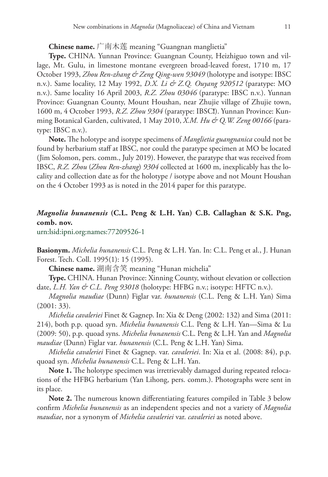**Chinese name.** 广南木莲 meaning "Guangnan manglietia"

**Type.** CHINA. Yunnan Province: Guangnan County, Heizhiguo town and village, Mt. Gulu, in limestone montane evergreen broad-leaved forest, 1710 m, 17 October 1993, *Zhou Ren-zhang & Zeng Qing-wen 93049* (holotype and isotype: IBSC n.v.). Same locality, 12 May 1992, *D.X. Li & Z.Q. Ouyang 920512* (paratype: MO n.v.). Same locality 16 April 2003, *R.Z. Zhou 03046* (paratype: IBSC n.v.). Yunnan Province: Guangnan County, Mount Houshan, near Zhujie village of Zhujie town, 1600 m, 4 October 1993, *R.Z. Zhou 9304* (paratype: IBSC**!**). Yunnan Province: Kunming Botanical Garden, cultivated, 1 May 2010, *X.M. Hu & Q.W. Zeng 00166* (paratype: IBSC n.v.).

**Note.** The holotype and isotype specimens of *Manglietia guangnanica* could not be found by herbarium staff at IBSC, nor could the paratype specimen at MO be located (Jim Solomon, pers. comm., July 2019). However, the paratype that was received from IBSC, *R.Z. Zhou* (*Zhou Ren-zhang*) *9304* collected at 1600 m, inexplicably has the locality and collection date as for the holotype / isotype above and not Mount Houshan on the 4 October 1993 as is noted in the 2014 paper for this paratype.

## *Magnolia hunanensis* **(C.L. Peng & L.H. Yan) C.B. Callaghan & S.K. Png, comb. nov.**

[urn:lsid:ipni.org:names:77209526-1](http://ipni.org/urn:lsid:ipni.org:names:77209526-1)

**Basionym.** *Michelia hunanensis* C.L. Peng & L.H. Yan. In: C.L. Peng et al., J. Hunan Forest. Tech. Coll. 1995(1): 15 (1995).

**Chinese name.** 湖南含笑 meaning "Hunan michelia"

**Type.** CHINA. Hunan Province: Xinning County, without elevation or collection date, *L.H. Yan & C.L. Peng 93018* (holotype: HFBG n.v.; isotype: HFTC n.v.).

*Magnolia maudiae* (Dunn) Figlar var. *hunanensis* (C.L. Peng & L.H. Yan) Sima (2001: 33).

*Michelia cavaleriei* Finet & Gagnep. In: Xia & Deng (2002: 132) and Sima (2011: 214), both p.p. quoad syn. *Michelia hunanensis* C.L. Peng & L.H. Yan—Sima & Lu (2009: 50), p.p. quoad syns. *Michelia hunanensis* C.L. Peng & L.H. Yan and *Magnolia maudiae* (Dunn) Figlar var. *hunanensis* (C.L. Peng & L.H. Yan) Sima.

*Michelia cavaleriei* Finet & Gagnep. var. *cavaleriei*. In: Xia et al. (2008: 84), p.p. quoad syn. *Michelia hunanensis* C.L. Peng & L.H. Yan.

**Note 1.** The holotype specimen was irretrievably damaged during repeated relocations of the HFBG herbarium (Yan Lihong, pers. comm.). Photographs were sent in its place.

**Note 2.** The numerous known differentiating features compiled in Table 3 below confirm *Michelia hunanensis* as an independent species and not a variety of *Magnolia maudiae*, nor a synonym of *Michelia cavaleriei* var. *cavaleriei* as noted above.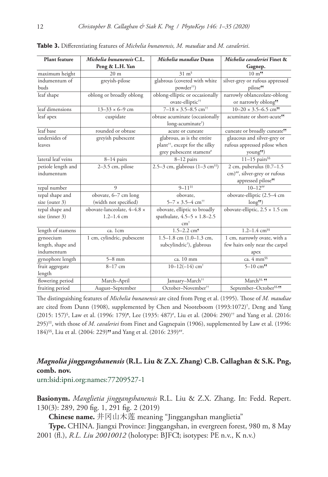| <b>Plant feature</b>              | Michelia hunanensis C.L.                      | Michelia maudiae Dunn                                           | Michelia cavaleriei Finet &                                                                                  |
|-----------------------------------|-----------------------------------------------|-----------------------------------------------------------------|--------------------------------------------------------------------------------------------------------------|
|                                   | Peng & L.H. Yan                               |                                                                 | Gagnep.                                                                                                      |
| maximum height                    | 20 <sub>m</sub>                               | $31 \text{ m}^{\text{s}}$                                       | $10 \; \mathrm{m}$ <sup>55</sup>                                                                             |
| indumentum of                     | greyish-pilose                                | glabrous (covered with white                                    | silver-grey or rufous appressed                                                                              |
| buds                              |                                               | powder <sup>††</sup> )                                          | pilose <sup>55</sup>                                                                                         |
| leaf shape                        | oblong or broadly oblong                      | oblong-elliptic or occasionally<br>ovate-elliptic <sup>††</sup> | narrowly oblanceolate-oblong<br>or narrowly oblong <sup>55</sup>                                             |
| leaf dimensions                   | $13 - 33 \times 6 - 9$ cm                     | $7 - 18 \times 3.5 - 8.5$ cm <sup>††</sup>                      | $\frac{10-20 \times 3.5-6.5 \text{ cm}}{10}$                                                                 |
| leaf apex                         | cuspidate                                     | obtuse acuminate (occasionally<br>long-acuminate <sup>†</sup> ) | acuminate or short-acute <sup>55</sup>                                                                       |
| leaf base                         | rounded or obtuse                             | acute or cuneate                                                | cuneate or broadly cuneate <sup>55</sup>                                                                     |
| undersides of                     | greyish pubescent                             | glabrous, as is the entire                                      | glaucous and silver-grey or                                                                                  |
| leaves                            |                                               | plant <sup>††</sup> , except for the silky                      | rufous appressed pilose when                                                                                 |
|                                   |                                               | grey pubescent stamens <sup>#</sup>                             | young <sup>99</sup> )                                                                                        |
| lateral leaf veins                | $8-14$ pairs                                  | $8-12$ pairs                                                    | $11-15$ pairs <sup>§§</sup>                                                                                  |
| petiole length and<br>indumentum  | 2-3.5 cm, pilose                              | 2.5-3 cm, glabrous $(1-3 \text{ cm}^{14})$                      | $2$ cm, puberulus $(0.7-1.5)$<br>$\text{cm})^{**}$ , silver-grey or rufous<br>appressed pilose <sup>55</sup> |
| tepal number                      | 9                                             | $9 - 11$ <sup>##</sup>                                          | $10 - 12$ ##                                                                                                 |
| tepal shape and                   | obovate, 6-7 cm long                          | obovate,                                                        | obovate-elliptic (2.5-4 cm                                                                                   |
| size (outer 3)                    | (width not specified)                         | $5 - 7 \times 3.5 - 4$ cm <sup>††</sup>                         | long <sup>55</sup>                                                                                           |
| tepal shape and<br>size (inner 3) | obovate-lanceolate, 4-4.8 x<br>$1.2 - 1.4$ cm | obovate, elliptic to broadly                                    | obovate-elliptic, $2.5 \times 1.5$ cm                                                                        |
|                                   |                                               | spathulate, $4.5-5 \times 1.8-2.5$<br>cm <sup>†</sup>           |                                                                                                              |
| length of stamens                 | ca. 1cm                                       | $1.5 - 2.2$ cm <sup>5</sup>                                     | $1.2 - 1.4$ cm <sup>§§</sup>                                                                                 |
| gynoecium                         | 1 cm, cylindric, pubescent                    | $1.5-1.8$ cm $(1.0-1.3$ cm,                                     | 1 cm, narrowly ovate, with a                                                                                 |
| length, shape and                 |                                               | subcylindric <sup>†</sup> ), glabrous                           | few hairs only near the carpel                                                                               |
| indumentum                        |                                               |                                                                 | apex                                                                                                         |
| gynophore length                  | $5-8$ mm                                      | ca. 10 mm                                                       | ca. 4 mm <sup>§§</sup>                                                                                       |
| fruit aggregate<br>length         | $8-17$ cm                                     | $10-12(-14)$ cm <sup>+</sup>                                    | $5 - 10$ cm <sup>55</sup>                                                                                    |
| flowering period                  | March-April                                   | January-March <sup>##</sup>                                     | March <sup>§§, 55</sup>                                                                                      |
| fruiting period                   | August-September                              | October-November#                                               | September-October <sup>§§, 99</sup>                                                                          |

**Table 3.** Differentiating features of *Michelia hunanensis, M. maudiae* and *M. cavaleriei*.

The distinguishing features of *Michelia hunanensis* are cited from Peng et al. (1995). Those of *M. maudiae* are cited from Dunn (1908), supplemented by Chen and Nooteboom (1993:1072)† , Deng and Yang (2015: 157)<sup>§</sup>, Law et al. (1996: 179)<sup>5</sup>, Lee (1935: 487)<sup>#</sup>, Liu et al. (2004: 290)<sup>††</sup> and Yang et al. (2016: 295)‡‡, with those of *M. cavaleriei* from Finet and Gagnepain (1906), supplemented by Law et al. (1996: 184)<sup>§§</sup>, Liu et al. (2004: 229)<sup>55</sup> and Yang et al. (2016: 239)<sup>##</sup>.

# *Magnolia jinggangshanensis* **(R.L. Liu & Z.X. Zhang) C.B. Callaghan & S.K. Png, comb. nov.**

[urn:lsid:ipni.org:names:77209527-1](http://ipni.org/urn:lsid:ipni.org:names:77209527-1)

**Basionym.** *Manglietia jinggangshanensis* R.L. Liu & Z.X. Zhang. In: Fedd. Repert. 130(3): 289, 290 fig. 1, 291 fig. 2 (2019)

**Chinese name.** 井冈山木莲 meaning "Jinggangshan manglietia"

**Type.** CHINA. Jiangxi Province: Jinggangshan, in evergreen forest, 980 m, 8 May 2001 (fl.), *R.L. Liu 20010012* (holotype: BJFC**!**; isotypes: PE n.v., K n.v.)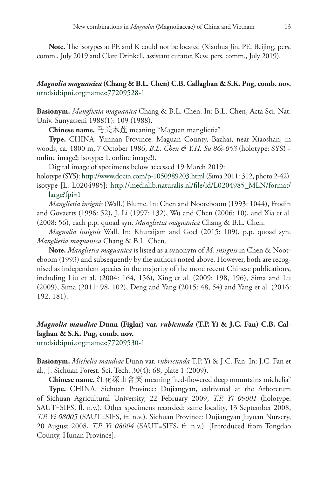**Note.** The isotypes at PE and K could not be located (Xiaohua Jin, PE, Beijing, pers. comm., July 2019 and Clare Drinkell, assistant curator, Kew, pers. comm., July 2019).

### *Magnolia maguanica* **(Chang & B.L. Chen) C.B. Callaghan & S.K. Png, comb. nov.**  [urn:lsid:ipni.org:names:77209528-1](http://ipni.org/urn:lsid:ipni.org:names:77209528-1)

**Basionym.** *Manglietia maguanica* Chang & B.L. Chen. In: B.L. Chen, Acta Sci. Nat. Univ. Sunyatseni 1988(1): 109 (1988).

**Chinese name.** 马关木莲 meaning "Maguan manglietia"

**Type.** CHINA. Yunnan Province: Maguan County, Bazhai, near Xiaoshan, in woods, ca. 1800 m, 7 October 1986, *B.L. Chen & Y.H. Su 86s-053* (holotype: SYS**!** + online image**!**; isotype: L online image**!**).

Digital image of specimens below accessed 19 March 2019:

holotype (SYS):<http://www.docin.com/p-1050989203.html>(Sima 2011: 312, photo 2-42). isotype [L: L0204985]: [http://medialib.naturalis.nl/file/id/L0204985\\_MLN/format/](http://medialib.naturalis.nl/file/id/L0204985_MLN/format/large?fpi=1) [large?fpi=1](http://medialib.naturalis.nl/file/id/L0204985_MLN/format/large?fpi=1)

*Manglietia insignis* (Wall.) Blume. In: Chen and Nooteboom (1993: 1044), Frodin and Govaerts (1996: 52), J. Li (1997: 132), Wu and Chen (2006: 10), and Xia et al. (2008: 56), each p.p. quoad syn. *Manglietia maguanica* Chang & B.L. Chen.

*Magnolia insignis* Wall. In: Khuraijam and Goel (2015: 109), p.p. quoad syn. *Manglietia maguanica* Chang & B.L. Chen.

**Note.** *Manglietia maguanica* is listed as a synonym of *M. insignis* in Chen & Nooteboom (1993) and subsequently by the authors noted above. However, both are recognised as independent species in the majority of the more recent Chinese publications, including Liu et al. (2004: 164, 156), Xing et al. (2009: 198, 196), Sima and Lu (2009), Sima (2011: 98, 102), Deng and Yang (2015: 48, 54) and Yang et al. (2016: 192, 181).

# *Magnolia maudiae* **Dunn (Figlar) var.** *rubicunda* **(T.P. Yi & J.C. Fan) C.B. Callaghan & S.K. Png, comb. nov.**

[urn:lsid:ipni.org:names:77209530-1](http://ipni.org/urn:lsid:ipni.org:names:77209530-1)

**Basionym.** *Michelia maudiae* Dunn var. *rubricunda* T.P. Yi & J.C. Fan. In: J.C. Fan et al., J. Sichuan Forest. Sci. Tech. 30(4): 68, plate 1 (2009).

**Chinese name.** 红花深山含笑 meaning "red-flowered deep mountains michelia" **Type.** CHINA. Sichuan Province: Dujiangyan, cultivated at the Arboretum of Sichuan Agricultural University, 22 February 2009, *T.P. Yi 09001* (holotype: SAUT=SIFS, fl. n.v.). Other specimens recorded: same locality, 13 September 2008, *T.P. Yi 08005* (SAUT=SIFS, fr. n.v.). Sichuan Province: Dujiangyan Juyuan Nursery, 20 August 2008, *T.P. Yi 08004* (SAUT=SIFS, fr. n.v.). [Introduced from Tongdao County, Hunan Province].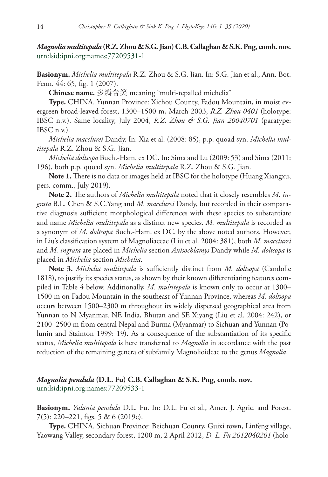*Magnolia multitepala* **(R.Z. Zhou & S.G. Jian) C.B. Callaghan & S.K. Png, comb. nov.**  [urn:lsid:ipni.org:names:77209531-1](http://ipni.org/urn:lsid:ipni.org:names:77209531-1)

**Basionym.** *Michelia multitepala* R.Z. Zhou & S.G. Jian. In: S.G. Jian et al., Ann. Bot. Fenn. 44: 65, fig. 1 (2007).

**Chinese name.** 多瓣含笑 meaning "multi-tepalled michelia"

**Type.** CHINA. Yunnan Province: Xichou County, Fadou Mountain, in moist evergreen broad-leaved forest, 1300–1500 m, March 2003, *R.Z. Zhou 0401* (holotype: IBSC n.v.). Same locality, July 2004, *R.Z. Zhou & S.G. Jian 20040701* (paratype: IBSC n.v.).

*Michelia macclurei* Dandy. In: Xia et al. (2008: 85), p.p. quoad syn. *Michelia multitepala* R.Z. Zhou & S.G. Jian.

*Michelia doltsopa* Buch.-Ham. ex DC. In: Sima and Lu (2009: 53) and Sima (2011: 196), both p.p. quoad syn. *Michelia multitepala* R.Z. Zhou & S.G. Jian.

**Note 1.** There is no data or images held at IBSC for the holotype (Huang Xiangxu, pers. comm., July 2019).

**Note 2.** The authors of *Michelia multitepala* noted that it closely resembles *M. ingrata* B.L. Chen & S.C.Yang and *M. macclurei* Dandy, but recorded in their comparative diagnosis sufficient morphological differences with these species to substantiate and name *Michelia multitepala* as a distinct new species. *M. multitepala* is recorded as a synonym of *M. doltsopa* Buch.-Ham. ex DC. by the above noted authors. However, in Liu's classification system of Magnoliaceae (Liu et al. 2004: 381), both *M. macclurei* and *M. ingrata* are placed in *Michelia* section *Anisochlamys* Dandy while *M. doltsopa* is placed in *Michelia* section *Michelia*.

**Note 3.** *Michelia multitepala* is sufficiently distinct from *M. doltsopa* (Candolle 1818), to justify its species status, as shown by their known differentiating features compiled in Table 4 below. Additionally, *M. multitepala* is known only to occur at 1300– 1500 m on Fadou Mountain in the southeast of Yunnan Province, whereas *M. doltsopa* occurs between 1500–2300 m throughout its widely dispersed geographical area from Yunnan to N Myanmar, NE India, Bhutan and SE Xiyang (Liu et al. 2004: 242), or 2100–2500 m from central Nepal and Burma (Myanmar) to Sichuan and Yunnan (Polunin and Stainton 1999: 19). As a consequence of the substantiation of its specific status, *Michelia multitepala* is here transferred to *Magnolia* in accordance with the past reduction of the remaining genera of subfamily Magnolioideae to the genus *Magnolia*.

### *Magnolia pendula* **(D.L. Fu) C.B. Callaghan & S.K. Png, comb. nov***.* [urn:lsid:ipni.org:names:77209533-1](http://ipni.org/urn:lsid:ipni.org:names:77209533-1)

**Basionym.** *Yulania pendula* D.L. Fu. In: D.L. Fu et al., Amer. J. Agric. and Forest. 7(5): 220–221, figs. 5 & 6 (2019c).

**Type.** CHINA. Sichuan Province: Beichuan County, Guixi town, Linfeng village, Yaowang Valley, secondary forest, 1200 m, 2 April 2012, *D. L. Fu 2012040201* (holo-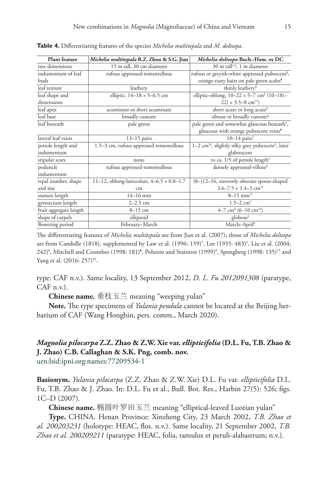| <b>Plant feature</b>   | Michelia multitepala R.Z. Zhou & S.G. Jian       | Michelia doltsopa Buch.-Ham. ex DC                                        |
|------------------------|--------------------------------------------------|---------------------------------------------------------------------------|
| tree dimensions        | 15 m tall, 30 cm diameter                        | 30 m tall <sup>†,§</sup> , 1 m diameter                                   |
| indumentum of leaf     | rufous appressed-tomentellous                    | rufous or greyish-white appressed pubescent <sup>§</sup> ,                |
| buds                   |                                                  | orange-rusty hairs on pale green scales <sup>9</sup>                      |
| leaf texture           | leathery                                         | thinly leathery <sup>§</sup>                                              |
| leaf shape and         | elliptic, $14-18 \times 5-6.5$ cm                | elliptic-oblong, $10-22 \times 5-7$ cm <sup>§</sup> (10-18(-              |
| dimensions             |                                                  | $22) \times 3.5 - 8$ cm <sup>††</sup> )                                   |
| leaf apex              | acuminate or short acuminate                     | short acute or long acute <sup>§</sup>                                    |
| leaf base              | broadly cuneate                                  | obtuse or broadly cuneate <sup>§</sup>                                    |
| leaf beneath           | pale green                                       | pale green and somewhat glaucous beneath#,                                |
|                        |                                                  | glaucous with orange pubescent veins <sup>5</sup>                         |
| lateral leaf veins     | $13-15$ pairs                                    | $10-14$ pairs <sup>†</sup>                                                |
| petiole length and     | 1.5-3 cm, rufous appressed tomentellous          | 1-2 cm <sup>##</sup> , slightly silky grey pubescent <sup>#</sup> , later |
| indumentum             |                                                  | glabrescent                                                               |
| stipular scars         | none                                             | to ca. 1/5 of petiole length <sup>§</sup>                                 |
| peduncle               | rufous appressed-tomentellous                    | densely appressed-villose <sup>§</sup>                                    |
| indumentum             |                                                  |                                                                           |
| tepal number, shape    | 11–12, oblong-lanceolate, $4-6.5 \times 0.8-1.7$ | $(8-)12-16$ , narrowly obovate spoon-shaped                               |
| and size               | cm                                               | $3.6 - 7.5 \times 1.4 - 3$ cm <sup>++</sup>                               |
| stamen length          | $14 - 16$ mm                                     | $8 - 15$ mm <sup>++</sup>                                                 |
| gynoecium length       | $2 - 2.5$ cm                                     | $1.5 - 2$ cm <sup>+</sup>                                                 |
| fruit aggregate length | $8-15$ cm                                        | $4-7$ cm <sup>§</sup> (6-10 cm <sup>‡‡</sup> )                            |
| shape of carpels       | ellipsoid                                        | globose <sup>‡</sup>                                                      |
| flowering period       | February-March                                   | March-April <sup>§</sup>                                                  |

**Table 4.** Differentiating features of the species *Michelia multitepala* and *M. doltsopa*.

The differentiating features of *Michelia multitepala* are from Jian et al. (2007); those of *Michelia doltsopa* are from Candolle (1818), supplemented by Law et al. (1996: 159)† , Lee (1935: 483)‡ , Liu et al. (2004: 242)§ , Mitchell and Coombes (1998: 181)¶ , Polunin and Stainton (1999)# , Spongberg (1998: 135)†† and Yang et al. (2016: 257)<sup>#‡</sup>.

type: CAF n.v.). Same locality, 13 September 2012, *D. L. Fu 2012091308* (paratype, CAF n.v.).

**Chinese name.** 垂枝玉兰 meaning "weeping yulan"

**Note.** The type specimens of *Yulania pendula* cannot be located at the Beijing herbarium of CAF (Wang Hongbin, pers. comm., March 2020).

### *Magnolia pilocarpa* **Z.Z. Zhao & Z.W. Xie var.** *ellipticifolia* **(D.L. Fu, T.B. Zhao & J. Zhao) C.B. Callaghan & S.K. Png, comb. nov.** [urn:lsid:ipni.org:names:77209534-1](http://ipni.org/urn:lsid:ipni.org:names:77209534-1)

**Basionym.** *Yulania pilocarpa* (Z.Z. Zhao & Z.W. Xie) D.L. Fu var. *ellipticifolia* D.L. Fu, T.B. Zhao & J. Zhao. In: D.L. Fu et al., Bull. Bot. Res., Harbin 27(5): 526; figs. 1C–D (2007).

**Chinese name.** 椭圆叶罗田玉兰 meaning "elliptical-leaved Luotian yulan"

**Type.** CHINA. Henan Province: Xinzheng City, 23 March 2002, *T.B. Zhao et al. 200203231* (holotype: HEAC, flos. n.v.). Same locality, 21 September 2002, *T.B. Zhao et al. 200209211* (paratype: HEAC, folia, ramulus et peruli-alabastrum; n.v.).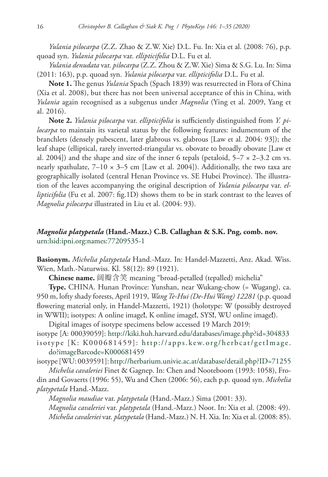*Yulania pilocarpa* (Z.Z. Zhao & Z.W. Xie) D.L. Fu. In: Xia et al. (2008: 76), p.p. quoad syn. *Yulania pilocarpa* var. *ellipticifolia* D.L. Fu et al.

*Yulania denudata* var. *pilocarpa* (Z.Z. Zhou & Z.W. Xie) Sima & S.G. Lu. In: Sima (2011: 163), p.p. quoad syn. *Yulania pilocarpa* var. *ellipticifolia* D.L. Fu et al.

**Note 1.** The genus *Yulania* Spach (Spach 1839) was resurrected in Flora of China (Xia et al. 2008), but there has not been universal acceptance of this in China, with *Yulania* again recognised as a subgenus under *Magnolia* (Ying et al. 2009, Yang et al. 2016).

**Note 2.** *Yulania pilocarpa* var. *ellipticifolia* is sufficiently distinguished from *Y. pilocarpa* to maintain its varietal status by the following features: indumentum of the branchlets (densely pubescent, later glabrous vs. glabrous [Law et al. 2004: 93]); the leaf shape (elliptical, rarely inverted-triangular vs. obovate to broadly obovate [Law et al. 2004]) and the shape and size of the inner 6 tepals (petaloid,  $5-7 \times 2-3.2$  cm vs. nearly spathulate,  $7-10 \times 3-5$  cm [Law et al. 2004]). Additionally, the two taxa are geographically isolated (central Henan Province vs. SE Hubei Province). The illustration of the leaves accompanying the original description of *Yulania pilocarpa* var. *ellipticifolia* (Fu et al. 2007: fig.1D) shows them to be in stark contrast to the leaves of *Magnolia pilocarpa* illustrated in Liu et al. (2004: 93).

### *Magnolia platypetala* **(Hand.-Mazz.) C.B. Callaghan & S.K. Png, comb. nov.** [urn:lsid:ipni.org:names:77209535-1](http://ipni.org/urn:lsid:ipni.org:names:77209535-1)

**Basionym.** *Michelia platypetala* Hand.-Mazz. In: Handel-Mazzetti, Anz. Akad. Wiss. Wien, Math.-Naturwiss. Kl. 58(12): 89 (1921).

**Chinese name.** 阔瓣含笑 meaning "broad-petalled (tepalled) michelia"

**Type.** CHINA. Hunan Province: Yunshan, near Wukang-chow (= Wugang), ca. 950 m, lofty shady forests, April 1919, *Wang Te-Hui (De-Hui Wang) 12281* (p.p. quoad flowering material only, in Handel-Mazzetti, 1921) (holotype: W (possibly destroyed in WWII); isotypes: A online image**!**, K online image**!**, SYS**!**, WU online image**!**).

Digital images of isotype specimens below accessed 19 March 2019: isotype [A: 00039059]: <http://kiki.huh.harvard.edu/databases/image.php?id=304833> isotype [K: K000681459]: [http://apps.kew.org/herbcat/getImage.](http://apps.kew.org/herbcat/getImage.do?imageBarcode=K000681459)

#### [do?imageBarcode=K000681459](http://apps.kew.org/herbcat/getImage.do?imageBarcode=K000681459)

isotype [WU: 0039591]: <http://herbarium.univie.ac.at/database/detail.php?ID=71255> *Michelia cavaleriei* Finet & Gagnep. In: Chen and Nooteboom (1993: 1058), Fro-

din and Govaerts (1996: 55), Wu and Chen (2006: 56), each p.p. quoad syn. *Michelia platypetala* Hand.-Mazz.

*Magnolia maudiae* var. *platypetala* (Hand.-Mazz.) Sima (2001: 33). *Magnolia cavaleriei* var. *platypetala* (Hand.-Mazz.) Noot. In: Xia et al. (2008: 49). *Michelia cavaleriei* var. *platypetala* (Hand.-Mazz.) N. H. Xia. In: Xia et al. (2008: 85).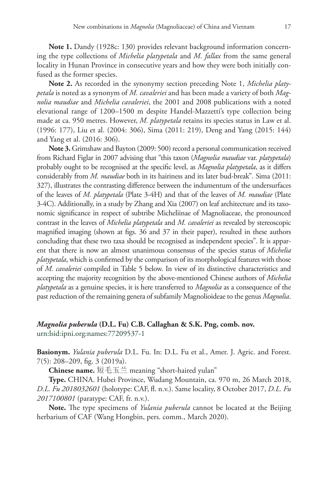**Note 1.** Dandy (1928c: 130) provides relevant background information concerning the type collections of *Michelia platypetala* and *M. fallax* from the same general locality in Hunan Province in consecutive years and how they were both initially confused as the former species.

**Note 2.** As recorded in the synonymy section preceding Note 1, *Michelia platypetala* is noted as a synonym of *M. cavaleriei* and has been made a variety of both *Magnolia maudiae* and *Michelia cavaleriei*, the 2001 and 2008 publications with a noted elevational range of 1200–1500 m despite Handel-Mazzetti's type collection being made at ca. 950 metres. However, *M. platypetala* retains its species status in Law et al. (1996: 177), Liu et al. (2004: 306), Sima (2011: 219), Deng and Yang (2015: 144) and Yang et al. (2016: 306).

**Note 3.** Grimshaw and Bayton (2009: 500) record a personal communication received from Richard Figlar in 2007 advising that "this taxon (*Magnolia maudiae* var. *platypetala*) probably ought to be recognised at the specific level, as *Magnolia platypetala*, as it differs considerably from *M. maudiae* both in its hairiness and its later bud-break". Sima (2011: 327), illustrates the contrasting difference between the indumentum of the undersurfaces of the leaves of *M. platypetala* (Plate 3-4H) and that of the leaves of *M. maudiae* (Plate 3-4C). Additionally, in a study by Zhang and Xia (2007) on leaf architecture and its taxonomic significance in respect of subtribe Micheliinae of Magnoliaceae, the pronounced contrast in the leaves of *Michelia platypetala* and *M. cavaleriei* as revealed by stereoscopic magnified imaging (shown at figs. 36 and 37 in their paper), resulted in these authors concluding that these two taxa should be recognised as independent species". It is apparent that there is now an almost unanimous consensus of the species status of *Michelia platypetala*, which is confirmed by the comparison of its morphological features with those of *M. cavaleriei* compiled in Table 5 below. In view of its distinctive characteristics and accepting the majority recognition by the above-mentioned Chinese authors of *Michelia platypetala* as a genuine species, it is here transferred to *Magnolia* as a consequence of the past reduction of the remaining genera of subfamily Magnolioideae to the genus *Magnolia*.

# *Magnolia puberula* **(D.L. Fu) C.B. Callaghan & S.K. Png, comb. nov.**

[urn:lsid:ipni.org:names:77209537-1](http://ipni.org/urn:lsid:ipni.org:names:77209537-1)

**Basionym.** *Yulania puberula* D.L. Fu. In: D.L. Fu et al., Amer. J. Agric. and Forest. 7(5): 208–209, fig. 3 (2019a).

**Chinese name.** 短毛玉兰 meaning "short-haired yulan"

**Type.** CHINA. Hubei Province, Wudang Mountain, ca. 970 m, 26 March 2018, *D.L. Fu 2018032601* (holotype: CAF, fl. n.v.). Same locality, 8 October 2017, *D.L. Fu 2017100801* (paratype: CAF, fr. n.v.).

**Note.** The type specimens of *Yulania puberula* cannot be located at the Beijing herbarium of CAF (Wang Hongbin, pers. comm., March 2020).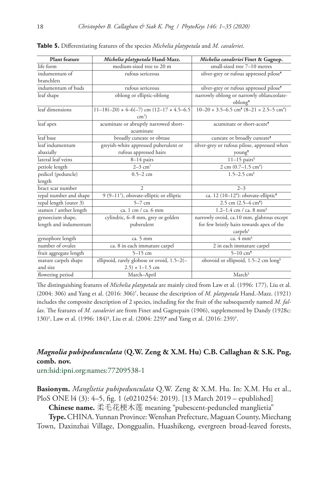| <b>Plant feature</b>   | Michelia platypetala Hand-Mazz.                         | Michelia cavaleriei Finet & Gagnep.                                           |
|------------------------|---------------------------------------------------------|-------------------------------------------------------------------------------|
| life form              | medium-sized tree to 20 m                               | small-sized tree 7-10 metres                                                  |
| indumentum of          | rufous sericeous                                        | silver-grey or rufous appressed pilose <sup>5</sup>                           |
| branchlets             |                                                         |                                                                               |
| indumentum of buds     | rufous sericeous                                        | silver-grey or rufous appressed pilose <sup>5</sup>                           |
| leaf shape             | oblong or elliptic-oblong                               | narrowly oblong or narrowly oblanceolate-                                     |
|                        |                                                         | oblong                                                                        |
| leaf dimensions        | $11-18(-20) \times 4-6(-7)$ cm $(12-17 \times 4.5-6.5)$ | $10-20 \times 3.5-6.5$ cm <sup>4</sup> $(8-21 \times 2.5-5$ cm <sup>#</sup> ) |
|                        | $cm^{\dagger}$ )                                        |                                                                               |
| leaf apex              | acuminate or abruptly narrowed short-                   | acuminate or short-acute <sup>5</sup>                                         |
|                        | acuminate                                               |                                                                               |
| leaf base              | broadly cuneate or obtuse                               | cuneate or broadly cuneate <sup>5</sup>                                       |
| leaf indumentum        | greyish-white appressed puberulent or                   | silver-grey or rufous pilose, appressed when                                  |
| abaxially              | rufous appressed hairs                                  | young <sup>9</sup>                                                            |
| lateral leaf veins     | $8-14$ pairs                                            | $11-15$ pairs <sup>§</sup>                                                    |
| petiole length         | $2-3$ cm <sup>+</sup>                                   | $2 \text{ cm } (0.7 - 1.5 \text{ cm}^*)$                                      |
| pedicel (peduncle)     | $0.5 - 2$ cm                                            | $1.5 - 2.5$ cm <sup>§</sup>                                                   |
| length                 |                                                         |                                                                               |
| bract scar number      | $\overline{\mathcal{L}}$                                | $2 - 3$                                                                       |
| tepal number and shape | $9(9-11)$ , obovate-elliptic or elliptic                | ca. 12 (10-12 <sup>#</sup> ): obovate-elliptic <sup>9</sup>                   |
| tepal length (outer 3) | $5-7$ cm                                                | $2.5$ cm $(2.5-4$ cm <sup>9</sup> )                                           |
| stamen / anther length | ca. 1 cm $/$ ca. 6 mm                                   | 1.2–1.4 cm / ca. 8 mm <sup>§</sup>                                            |
| gynoecium shape,       | cylindric, 6-8 mm, grey or golden                       | narrowly ovoid, ca.10 mm, glabrous except                                     |
| length and indumentum  | puberulent                                              | for few bristly hairs towards apex of the                                     |
|                        |                                                         | carpels <sup>‡</sup>                                                          |
| gynophore length       | ca. 5 mm                                                | ca. $4 \text{ mm}^6$                                                          |
| number of ovules       | ca. 8 in each immature carpel                           | 2 in each immature carpel                                                     |
| fruit aggregate length | $5-15$ cm                                               | $5 - 10$ cm <sup>5</sup>                                                      |
| mature carpels shape   | ellipsoid, rarely globose or ovoid, 1.5-2(-             | obovoid or ellipsoid, 1.5-2 cm long <sup>§</sup>                              |
| and size               | $(2.5) \times 1 - 1.5$ cm                               |                                                                               |
| flowering period       | March-April                                             | March <sup>§</sup>                                                            |

**Table 5.** Differentiating features of the species *Michelia platypetala* and *M. cavaleriei*.

The distinguishing features of *Michelia platypetala* are mainly cited from Law et al. (1996: 177), Liu et al. (2004: 306) and Yang et al. (2016: 306)† , because the description of *M. platypetala* Hand.-Mazz. (1921) includes the composite description of 2 species, including for the fruit of the subsequently named *M. fallax*. The features of *M. cavaleriei* are from Finet and Gagnepain (1906), supplemented by Dandy (1928c: 130)<sup>‡</sup>, Law et al. (1996: 184)<sup>§</sup>, Liu et al. (2004: 229)<sup>§</sup> and Yang et al. (2016: 239)<sup>#</sup>.

# *Magnolia pubipedunculata* **(Q.W. Zeng & X.M. Hu) C.B. Callaghan & S.K. Png, comb. nov.**

[urn:lsid:ipni.org:names:77209538-1](http://ipni.org/urn:lsid:ipni.org:names:77209538-1)

**Basionym.** *Manglietia pubipedunculata* Q.W. Zeng & X.M. Hu. In: X.M. Hu et al., PloS ONE l4 (3): 4–5, fig. 1 (e0210254: 2019). [13 March 2019 – epublished]

**Chinese name.** 柔毛花梗木莲 meaning "pubescent-peduncled manglietia"

**Type.** CHINA. Yunnan Province: Wenshan Prefecture, Maguan County, Miechang Town, Daxinzhai Village, Donggualin, Huashikeng, evergreen broad-leaved forests,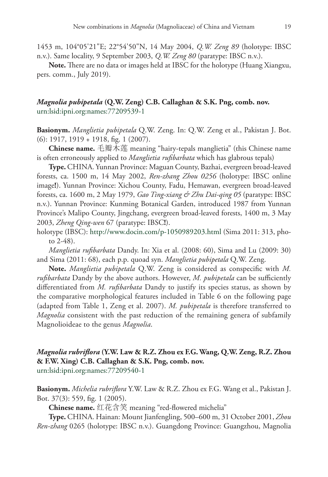1453 m, 104°05'21"E; 22°54'50"N, 14 May 2004, *Q.W. Zeng 89* (holotype: IBSC n.v.). Same locality, 9 September 2003, *Q.W. Zeng 80* (paratype: IBSC n.v.).

**Note.** There are no data or images held at IBSC for the holotype (Huang Xiangxu, pers. comm., July 2019).

### *Magnolia pubipetala* **(Q.W. Zeng) C.B. Callaghan & S.K. Png, comb. nov.** [urn:lsid:ipni.org:names:77209539-1](http://ipni.org/urn:lsid:ipni.org:names:77209539-1)

**Basionym.** *Manglietia pubipetala* Q.W. Zeng. In: Q.W. Zeng et al., Pakistan J. Bot. (6): 1917, 1919 + 1918, fig. 1 (2007).

**Chinese name.** 毛瓣木莲 meaning "hairy-tepals manglietia" (this Chinese name is often erroneously applied to *Manglietia rufibarbata* which has glabrous tepals)

**Type.** CHINA. Yunnan Province: Maguan County, Bazhai, evergreen broad-leaved forests, ca. 1500 m, 14 May 2002, *Ren-zhang Zhou 0256* (holotype: IBSC online image**!**). Yunnan Province: Xichou County, Fadu, Hemawan, evergreen broad-leaved forests, ca. 1600 m, 2 May 1979, *Gao Ting-xiang & Zhu Dai-qing 05* (paratype: IBSC n.v.). Yunnan Province: Kunming Botanical Garden, introduced 1987 from Yunnan Province's Malipo County, Jingchang, evergreen broad-leaved forests, 1400 m, 3 May 2003, *Zheng Qing-wen* 67 (paratype: IBSC**!**).

holotype (IBSC):<http://www.docin.com/p-1050989203.html>(Sima 2011: 313, photo 2-48).

*Manglietia rufibarbata* Dandy. In: Xia et al. (2008: 60), Sima and Lu (2009: 30) and Sima (2011: 68), each p.p. quoad syn. *Manglietia pubipetala* Q.W. Zeng.

**Note.** *Manglietia pubipetala* Q.W. Zeng is considered as conspecific with *M. rufibarbata* Dandy by the above authors. However, *M. pubipetala* can be sufficiently differentiated from *M. rufibarbata* Dandy to justify its species status, as shown by the comparative morphological features included in Table 6 on the following page (adapted from Table 1, Zeng et al. 2007). *M. pubipetala* is therefore transferred to *Magnolia* consistent with the past reduction of the remaining genera of subfamily Magnolioideae to the genus *Magnolia*.

### *Magnolia rubriflora* **(Y.W. Law & R.Z. Zhou ex F.G. Wang, Q.W. Zeng, R.Z. Zhou & F.W. Xing) C.B. Callaghan & S.K. Png, comb. nov.** [urn:lsid:ipni.org:names:77209540-1](http://ipni.org/urn:lsid:ipni.org:names:77209540-1)

**Basionym.** *Michelia rubriflora* Y.W. Law & R.Z. Zhou ex F.G. Wang et al., Pakistan J. Bot. 37(3): 559, fig. 1 (2005).

**Chinese name.** 红花含笑 meaning "red-flowered michelia"

**Type.** CHINA. Hainan: Mount Jianfengling, 500–600 m, 31 October 2001, *Zhou Ren-zhang* 0265 (holotype: IBSC n.v.). Guangdong Province: Guangzhou, Magnolia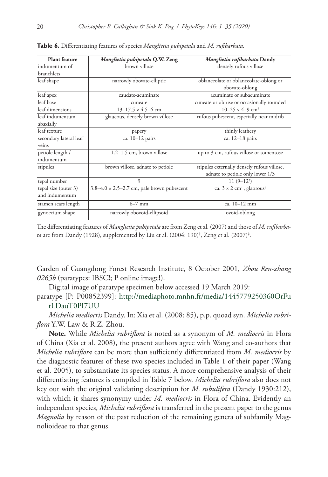| <b>Plant</b> feature   | Manglietia pubipetala Q.W. Zeng                   | Manglietia rufibarbata Dandy                             |
|------------------------|---------------------------------------------------|----------------------------------------------------------|
| indumentum of          | brown villose                                     | densely rufous villose                                   |
| branchlets             |                                                   |                                                          |
| leaf shape             | narrowly obovate-elliptic                         | oblanceolate or oblanceolate-oblong or                   |
|                        |                                                   | obovate-oblong                                           |
| leaf apex              | caudate-acuminate                                 | acuminate or subacuminate                                |
| leaf base              | cuneate                                           | cuneate or obtuse or occasionally rounded                |
| leaf dimensions        | $13-17.5 \times 4.5-6$ cm                         | $10-25 \times 4-9$ cm <sup>+</sup>                       |
| leaf indumentum        | glaucous, densely brown villose                   | rufous pubescent, especially near midrib                 |
| abaxially              |                                                   |                                                          |
| leaf texture           | papery                                            | thinly leathery                                          |
| secondary lateral leaf | ca. 10-12 pairs                                   | ca. 12-18 pairs                                          |
| veins                  |                                                   |                                                          |
| petiole length /       | $1.2-1.5$ cm, brown villose                       | up to 3 cm, rufous villose or tomentose                  |
| indumentum             |                                                   |                                                          |
| stipules               | brown villose, adnate to petiole                  | stipules externally densely rufous villose,              |
|                        |                                                   | adnate to petiole only lower 1/3                         |
| tepal number           | 9                                                 | $11(9-12^{\dagger})$                                     |
| tepal size (outer 3)   | $3.8-4.0 \times 2.5-2.7$ cm, pale brown pubescent | ca. $3 \times 2$ cm <sup>†</sup> , glabrous <sup>‡</sup> |
| and indumentum         |                                                   |                                                          |
| stamen scars length    | $6-7$ mm                                          | $ca. 10-12$ mm                                           |
| gynoecium shape        | narrowly obovoid-ellipsoid                        | ovoid-oblong                                             |

**Table 6.** Differentiating features of species *Manglietia pubipetala* and *M. rufibarbata*.

The differentiating features of *Manglietia pubipetala* are from Zeng et al. (2007) and those of *M. rufibarbata* are from Dandy (1928), supplemented by Liu et al. (2004: 190)† , Zeng et al. (2007)‡ .

Garden of Guangdong Forest Research Institute, 8 October 2001, *Zhou Ren-zhang 0265b* (paratypes: IBSC**!**; P online image**!**).

Digital image of paratype specimen below accessed 19 March 2019:

paratype [P: P00852399]: [http://mediaphoto.mnhn.fr/media/1445779250360OrFu](http://mediaphoto.mnhn.fr/media/1445779250360OrFutLDauT0PI7UU) [tLDauT0PI7UU](http://mediaphoto.mnhn.fr/media/1445779250360OrFutLDauT0PI7UU)

*Michelia mediocris* Dandy. In: Xia et al. (2008: 85), p.p. quoad syn. *Michelia rubriflora* Y.W. Law & R.Z. Zhou.

**Note.** While *Michelia rubriflora* is noted as a synonym of *M. mediocris* in Flora of China (Xia et al. 2008), the present authors agree with Wang and co-authors that *Michelia rubriflora* can be more than sufficiently differentiated from *M. mediocris* by the diagnostic features of these two species included in Table 1 of their paper (Wang et al. 2005), to substantiate its species status. A more comprehensive analysis of their differentiating features is compiled in Table 7 below. *Michelia rubriflora* also does not key out with the original validating description for *M. subulifera* (Dandy 1930:212), with which it shares synonymy under *M. mediocris* in Flora of China. Evidently an independent species, *Michelia rubriflora* is transferred in the present paper to the genus *Magnolia* by reason of the past reduction of the remaining genera of subfamily Magnolioideae to that genus.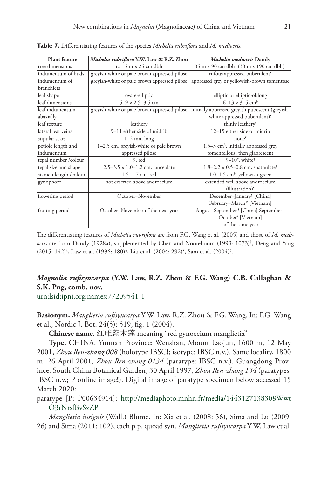| Plant feature         | Michelia rubriflora Y.W. Law & R.Z. Zhou     | Michelia mediocris Dandy                                       |
|-----------------------|----------------------------------------------|----------------------------------------------------------------|
| tree dimensions       | to 15 m $\times$ 25 cm dbh                   | 35 m x 90 cm dbh <sup>†</sup> (30 m x 190 cm dbh) <sup>‡</sup> |
| indumentum of buds    | greyish-white or pale brown appressed pilose | rufous appressed puberulent <sup>9</sup>                       |
| indumentum of         | greyish-white or pale brown appressed pilose | appressed grey or yellowish-brown tomentose                    |
| branchlets            |                                              |                                                                |
| leaf shape            | ovate-elliptic                               | elliptic or elliptic-oblong                                    |
| leaf dimensions       | $5-9 \times 2.5-3.5$ cm                      | $6 - 13 \times 3 - 5$ cm <sup>§</sup>                          |
| leaf indumentum       | greyish-white or pale brown appressed pilose | initially appressed greyish pubescent (greyish-                |
| abaxially             |                                              | white appressed puberulent) <sup>9</sup>                       |
| leaf texture          | leathery                                     | thinly leathery <sup>5</sup>                                   |
| lateral leaf veins    | 9-11 either side of midrib                   | 12-15 either side of midrib                                    |
| stipular scars        | $1-2$ mm long                                | none <sup>9</sup>                                              |
| petiole length and    | 1-2.5 cm, greyish-white or pale brown        | 1.5-3 cm <sup>§</sup> , initially appressed grey               |
| indumentum            | appressed pilose                             | tomentellous, then glabrescent                                 |
| tepal number /colour  | $9, \text{red}$                              | $9-10^{\circ}$ , white <sup>9</sup>                            |
| tepal size and shape  | $2.5 - 3.5 \times 1.0 - 1.2$ cm, lanceolate  | $1.8-2.2 \times 0.5-0.8$ cm, spathulate <sup>§</sup>           |
| stamen length /colour | $1.5 - 1.7$ cm, red                          | 1.0-1.5 cm <sup>§</sup> , yellowish-green                      |
| gynophore             | not exserted above androecium                | extended well above androecium                                 |
|                       |                                              | (illustration) <sup>9</sup>                                    |
| flowering period      | October-November                             | December-January <sup>5</sup> [China]                          |
|                       |                                              | February-March <sup>#</sup> [Vietnam]                          |
| fruiting period       | October-November of the next year            | August-September <sup>9</sup> [China] September-               |
|                       |                                              | October# [Vietnam]                                             |
|                       |                                              | of the same year                                               |

**Table 7.** Differentiating features of the species *Michelia rubriflora* and *M. mediocris*.

The differentiating features of *Michelia rubriflora* are from F.G. Wang et al. (2005) and those of *M. mediocris* are from Dandy (1928a), supplemented by Chen and Nooteboom (1993: 1073)† , Deng and Yang (2015: 142)<sup>‡</sup>, Law et al. (1996: 180)<sup>§</sup>, Liu et al. (2004: 292)¶, Sam et al. (2004)<sup>#</sup>.

# *Magnolia rufisyncarpa* **(Y.W. Law, R.Z. Zhou & F.G. Wang) C.B. Callaghan & S.K. Png, comb. nov.**

[urn:lsid:ipni.org:names:77209541-1](http://ipni.org/urn:lsid:ipni.org:names:77209541-1)

**Basionym.** *Manglietia rufisyncarpa* Y.W. Law, R.Z. Zhou & F.G. Wang. In: F.G. Wang et al., Nordic J. Bot. 24(5): 519, fig. 1 (2004).

**Chinese name.** 红雌蕊木莲 meaning "red gynoecium manglietia"

**Type.** CHINA. Yunnan Province: Wenshan, Mount Laojun, 1600 m, 12 May 2001, *Zhou Ren-zhang 008* (holotype IBSC**!**; isotype: IBSC n.v.). Same locality, 1800 m, 26 April 2001, *Zhou Ren-zhang 0134* (paratype: IBSC n.v.). Guangdong Province: South China Botanical Garden, 30 April 1997, *Zhou Ren-zhang 134* (paratypes: IBSC n.v.; P online image**!**). Digital image of paratype specimen below accessed 15 March 2020:

paratype [P: P00634914]: [http://mediaphoto.mnhn.fr/media/1443127138308Wwt](http://mediaphoto.mnhn.fr/media/1443127138308WwtO3rNrsfBvSzZP) [O3rNrsfBvSzZP](http://mediaphoto.mnhn.fr/media/1443127138308WwtO3rNrsfBvSzZP)

*Manglietia insignis* (Wall.) Blume. In: Xia et al. (2008: 56), Sima and Lu (2009: 26) and Sima (2011: 102), each p.p. quoad syn. *Manglietia rufisyncarpa* Y.W. Law et al.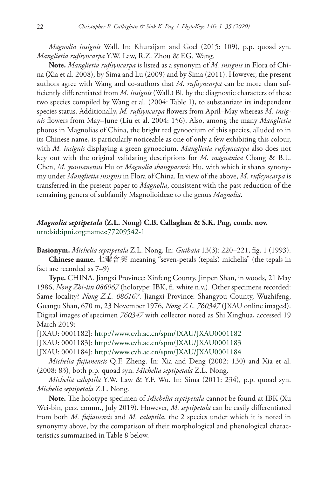*Magnolia insignis* Wall. In: Khuraijam and Goel (2015: 109), p.p. quoad syn. *Manglietia rufisyncarpa* Y.W. Law, R.Z. Zhou & F.G. Wang.

**Note.** *Manglietia rufisyncarpa* is listed as a synonym of *M. insignis* in Flora of China (Xia et al. 2008), by Sima and Lu (2009) and by Sima (2011). However, the present authors agree with Wang and co-authors that *M. rufisyncarpa* can be more than sufficiently differentiated from *M. insignis* (Wall.) Bl. by the diagnostic characters of these two species compiled by Wang et al. (2004: Table 1), to substantiate its independent species status. Additionally, *M. rufisyncarpa* flowers from April–May whereas *M. insignis* flowers from May–June (Liu et al. 2004: 156). Also, among the many *Manglietia* photos in Magnolias of China, the bright red gynoecium of this species, alluded to in its Chinese name, is particularly noticeable as one of only a few exhibiting this colour, with *M. insignis* displaying a green gynoecium. *Manglietia rufisyncarpa* also does not key out with the original validating descriptions for *M. maguanica* Chang & B.L. Chen, *M. yunnanensis* Hu or *Magnolia shangpaensis* Hu, with which it shares synonymy under *Manglietia insignis* in Flora of China. In view of the above, *M. rufisyncarpa* is transferred in the present paper to *Magnolia*, consistent with the past reduction of the remaining genera of subfamily Magnolioideae to the genus *Magnolia*.

### *Magnolia septipetala* **(Z.L. Nong) C.B. Callaghan & S.K. Png, comb. nov.** [urn:lsid:ipni.org:names:77209542-1](http://ipni.org/urn:lsid:ipni.org:names:77209542-1)

**Basionym.** *Michelia septipetala* Z.L. Nong. In: *Guihaia* 13(3): 220–221, fig. 1 (1993).

**Chinese name.** 七瓣含笑 meaning "seven-petals (tepals) michelia" (the tepals in fact are recorded as 7–9)

**Type.** CHINA. Jiangxi Province: Xinfeng County, Jinpen Shan, in woods, 21 May 1986, *Nong Zhi-lin 086067* (holotype: IBK, fl. white n.v.). Other specimens recorded: Same locality? *Nong Z.L. 086167*. Jiangxi Province: Shangyou County, Wuzhifeng, Guangu Shan, 670 m, 23 November 1976, *Nong Z.L. 760347* (JXAU online images**!**). Digital images of specimen *760347* with collector noted as Shi Xinghua, accessed 19 March 2019:

[JXAU: 0001182]:<http://www.cvh.ac.cn/spm/JXAU/JXAU0001182>

[JXAU: 0001183]:<http://www.cvh.ac.cn/spm/JXAU/JXAU0001183>

[JXAU: 0001184]:<http://www.cvh.ac.cn/spm/JXAU/JXAU0001184>

*Michelia fujianensis* Q.F. Zheng. In: Xia and Deng (2002: 130) and Xia et al. (2008: 83), both p.p. quoad syn. *Michelia septipetala* Z.L. Nong.

*Michelia caloptila* Y.W. Law & Y.F. Wu. In: Sima (2011: 234), p.p. quoad syn. *Michelia septipetala* Z.L. Nong.

**Note.** The holotype specimen of *Michelia septipetala* cannot be found at IBK (Xu Wei-bin, pers. comm., July 2019). However, *M. septipetala* can be easily differentiated from both *M. fujianensis* and *M. caloptila*, the 2 species under which it is noted in synonymy above, by the comparison of their morphological and phenological characteristics summarised in Table 8 below.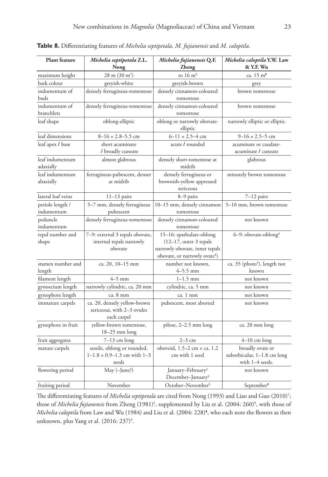| <b>Plant feature</b>           | Michelia septipetala Z.L.<br>Nong                                            | Michelia fujianensis Q.F.<br><b>Zheng</b>                                                                                         | Michelia caloptila Y.W. Law<br>& Y.F. Wu                           |
|--------------------------------|------------------------------------------------------------------------------|-----------------------------------------------------------------------------------------------------------------------------------|--------------------------------------------------------------------|
| maximum height                 | $28 \text{ m} (30 \text{ m}^{\dagger})$                                      | to $16 \text{ m}$                                                                                                                 | ca. 15 m <sup>9</sup>                                              |
| bark colour                    | greyish-white                                                                | greyish-brown                                                                                                                     | grey                                                               |
| indumentum of<br>buds          | densely ferrugineus-tomentose                                                | densely cinnamon-coloured<br>tomentose                                                                                            | brown tomentose                                                    |
| indumentum of<br>branchlets    | densely ferrugineus-tomentose                                                | densely cinnamon-coloured<br>tomentose                                                                                            | brown tomentose                                                    |
| leaf shape                     | oblong-elliptic                                                              | oblong or narrowly obovate-<br>elliptic                                                                                           | narrowly elliptic or elliptic                                      |
| leaf dimensions                | $8 - 16 \times 2.8 - 5.5$ cm                                                 | $6 - 11 \times 2.5 - 4$ cm                                                                                                        | $9 - 16 \times 2.5 - 5$ cm                                         |
| leaf apex / base               | short acuminate<br>/ broadly cuneate                                         | acute / rounded                                                                                                                   | acuminate or caudate-<br>acuminate / cuneate                       |
| leaf indumentum<br>adaxially   | almost glabrous                                                              | densely short-tomentose at<br>midrib                                                                                              | glabrous                                                           |
| leaf indumentum<br>abaxially   | ferrugineus-pubescent, denser<br>at midrib                                   | densely ferrugineus or<br>brownish-yellow appressed<br>sericeous                                                                  | minutely brown tomentose                                           |
| lateral leaf veins             | $11-13$ pairs                                                                | 8-9 pairs                                                                                                                         | $7-12$ pairs                                                       |
| petiole length /<br>indumentum | 5-7 mm, densely ferrugineus<br>pubescent                                     | 10-15 mm, densely cinnamon<br>tomentose                                                                                           | 5-10 mm, brown tomentose                                           |
| peduncle<br>indumentum         | densely ferrugineus-tomentose                                                | densely cinnamon-coloured<br>tomentose                                                                                            | not known                                                          |
| tepal number and<br>shape      | 7-9: external 3 tepals obovate,<br>internal tepals narrowly<br>obovate       | 15-16: spathulate-oblong<br>(12-17, outer 3 tepals<br>narrowly obovate, inner tepals<br>obovate, or narrowly ovate <sup>§</sup> ) | 6-9: obovate-oblong#                                               |
| stamen number and<br>length    | ca. 20, 10-15 mm                                                             | number not known,<br>$4 - 5.5$ mm                                                                                                 | ca. 35 (photo#), length not<br>known                               |
| filament length                | $4-5$ mm                                                                     | $1 - 1.5$ mm                                                                                                                      | not known                                                          |
| gynoecium length               | narrowly cylindric, ca. 20 mm                                                | cylindric, ca. 5 mm                                                                                                               | not known                                                          |
| gynophore length               | ca. 8 mm                                                                     | ca. 1 mm                                                                                                                          | not known                                                          |
| immature carpels               | ca. 20, densely yellow-brown<br>sericeous, with 2-3 ovules<br>each carpel    | pubescent, most aborted                                                                                                           | not known                                                          |
| gynophore in fruit             | yellow-brown tomentose,<br>$18-25$ mm long                                   | pilose, 2-2.5 mm long                                                                                                             | ca. 20 mm long                                                     |
| fruit aggregates               | $7-13$ cm long                                                               | $2-3$ cm                                                                                                                          | $4-10$ cm long                                                     |
| mature carpels                 | sessile, oblong or rounded,<br>$1-1.8 \times 0.9-1.3$ cm with $1-3$<br>seeds | obovoid, $1.5-2$ cm $\times$ ca. 1.2<br>cm with 1 seed                                                                            | broadly ovate or<br>suborbicular, 1-1.8 cm long<br>with 1-4 seeds. |
| flowering period               | May (-June?)                                                                 | January-February <sup>#</sup><br>December-January <sup>§</sup>                                                                    | not known                                                          |
| fruiting period                | November                                                                     | October-November <sup>§</sup>                                                                                                     | September <sup>9</sup>                                             |

**Table 8.** Differentiating features of *Michelia septipetala, M. fujianensis* and *M. caloptila*.

The differentiating features of *Michelia septipetala* are cited from Nong (1993) and Liao and Guo (2010)† ; those of *Michelia fujianensis* from Zheng (1981)‡ , supplemented by Liu et al. (2004: 260)§ , with those of *Michelia caloptila* from Law and Wu (1984) and Liu et al. (2004: 228)¶ , who each note the flowers as then unknown, plus Yang et al. (2016: 237)<sup>#</sup>.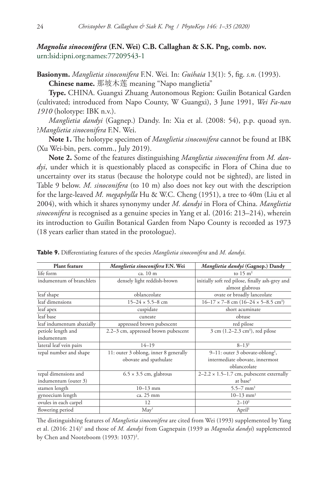*Magnolia sinoconifera* **(F.N. Wei) C.B. Callaghan & S.K. Png, comb. nov.** [urn:lsid:ipni.org:names:77209543-1](http://ipni.org/urn:lsid:ipni.org:names:77209543-1)

**Basionym.** *Manglietia sinoconifera* F.N. Wei*.* In: *Guihaia* 13(1): 5, fig. *s.n*. (1993). **Chinese name.** 那坡木莲 meaning "Napo manglietia"

**Type.** CHINA. Guangxi Zhuang Autonomous Region: Guilin Botanical Garden (cultivated; introduced from Napo County, W Guangxi), 3 June 1991, *Wei Fa-nan 1910* (holotype: IBK n.v.).

*Manglietia dandyi* (Gagnep.) Dandy. In: Xia et al. (2008: 54), p.p. quoad syn. ?*Manglietia sinoconifera* F.N. Wei.

**Note 1.** The holotype specimen of *Manglietia sinoconifera* cannot be found at IBK (Xu Wei-bin, pers. comm., July 2019).

**Note 2.** Some of the features distinguishing *Manglietia sinoconifera* from *M. dandyi*, under which it is questionably placed as conspecific in Flora of China due to uncertainty over its status (because the holotype could not be sighted), are listed in Table 9 below. *M. sinoconifera* (to 10 m) also does not key out with the description for the large-leaved *M. megaphylla* Hu & W.C. Cheng (1951), a tree to 40m (Liu et al 2004), with which it shares synonymy under *M. dandyi* in Flora of China. *Manglietia sinoconifera* is recognised as a genuine species in Yang et al. (2016: 213–214), wherein its introduction to Guilin Botanical Garden from Napo County is recorded as 1973 (18 years earlier than stated in the protologue).

| <b>Plant</b> feature      | Manglietia sinoconifera F.N. Wei      | Manglietia dandyi (Gagnep.) Dandy                             |
|---------------------------|---------------------------------------|---------------------------------------------------------------|
| life form                 | ca. 10 m                              | to $15 \text{ m}^*$                                           |
| indumentum of branchlets  | densely light reddish-brown           | initially soft red pilose, finally ash-grey and               |
|                           |                                       | almost glabrous                                               |
| leaf shape                | oblanceolate                          | ovate or broadly lanceolate                                   |
| leaf dimensions           | $15 - 24 \times 5.5 - 8$ cm           | $16-17 \times 7-8$ cm $(16-24 \times 5-8.5$ cm <sup>‡</sup> ) |
| leaf apex                 | cuspidate                             | short acuminate                                               |
| leaf base                 | cuneate                               | obtuse                                                        |
| leaf indumentum abaxially | appressed brown pubescent             | red pilose                                                    |
| petiole length and        | 2.2–3 cm, appressed brown pubescent   | $3 \text{ cm } (1.2-2.3 \text{ cm}^2)$ , red pilose           |
| indumentum                |                                       |                                                               |
| lateral leaf vein pairs   | $14 - 19$                             | $8 - 13^{\ddagger}$                                           |
| tepal number and shape    | 11: outer 3 oblong, inner 8 generally | $9-11$ : outer 3 obovate-oblong <sup>‡</sup> ,                |
|                           | obovate and spathulate                | intermediate obovate, innermost                               |
|                           |                                       | oblanceolate                                                  |
| tepal dimensions and      | $6.5 \times 3.5$ cm, glabrous         | $2-2.2 \times 1.5-1.7$ cm, pubescent externally               |
| indumentum (outer 3)      |                                       | at base <sup>#</sup>                                          |
| stamen length             | $10-13$ mm                            | $5.5 - 7$ mm <sup>‡</sup>                                     |
| gynoecium length          | ca. 25 mm                             | $10-13$ mm <sup><math>#</math></sup>                          |
| ovules in each carpel     | 12                                    | $2 - 10^{\ddagger}$                                           |
| flowering period          | $\text{May}^{\dagger}$                | April <sup>‡</sup>                                            |

**Table 9.** Differentiating features of the species *Manglietia sinoconifera* and *M. dandyi*.

The distinguishing features of *Manglietia sinoconifera* are cited from Wei (1993) supplemented by Yang et al. (2016: 214)† and those of *M. dandyi* from Gagnepain (1939 as *Magnolia dandyi*) supplemented by Chen and Nooteboom (1993: 1037)‡ .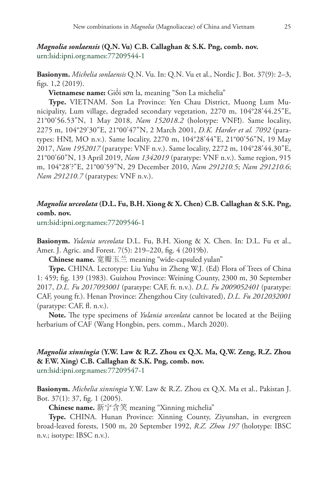**Basionym.** *Michelia sonlaensis* Q.N. Vu. In: Q.N. Vu et al., Nordic J. Bot. 37(9): 2–3, figs. 1,2 (2019).

**Vietnamese name:** Giổi sơn la, meaning "Son La michelia"

**Type.** VIETNAM. Son La Province: Yen Chau District, Muong Lum Municipality, Lum village, degraded secondary vegetation, 2270 m, 104°28'44.25"E, 21°00'56.53"N, 1 May 2018, *Nam 152018.2* (holotype: VNF**!**). Same locality, 2275 m, 104°29'30"E, 21°00'47"N, 2 March 2001, *D.K. Harder et al. 7092* (paratypes: HN**!**, MO n.v.). Same locality, 2270 m, 104°28'44"E, 21°00'56"N, 19 May 2017, *Nam 1952017* (paratype: VNF n.v.). Same locality, 2272 m, 104°28'44.30"E, 21°00'60"N, 13 April 2019, *Nam 1342019* (paratype: VNF n.v.). Same region, 915 m, 104°28'?"E, 21°00'59"N, 29 December 2010, *Nam 291210.5*; *Nam 291210.6*; *Nam 291210.7* (paratypes: VNF n.v.).

### *Magnolia urceolata* **(D.L. Fu, B.H. Xiong & X. Chen) C.B. Callaghan & S.K. Png, comb. nov.**

[urn:lsid:ipni.org:names:77209546-1](http://ipni.org/urn:lsid:ipni.org:names:77209546-1)

**Basionym.** *Yulania urceolata* D.L. Fu, B.H. Xiong & X. Chen. In: D.L. Fu et al., Amer. J. Agric. and Forest. 7(5): 219–220, fig. 4 (2019b).

**Chinese name.** 宽瓣玉兰 meaning "wide-capsuled yulan"

**Type.** CHINA. Lectotype: Liu Yuhu in Zheng W.J. (Ed) Flora of Trees of China 1: 459; fig. 139 (1983). Guizhou Province: Weining County, 2300 m, 30 September 2017, *D.L. Fu 2017093001* (paratype: CAF, fr. n.v.). *D.L. Fu 2009052401* (paratype: CAF, young fr.). Henan Province: Zhengzhou City (cultivated), *D.L. Fu 2012032001*  (paratype: CAF, fl. n.v.).

**Note.** The type specimens of *Yulania urceolata* cannot be located at the Beijing herbarium of CAF (Wang Hongbin, pers. comm., March 2020).

# *Magnolia xinningia* **(Y.W. Law & R.Z. Zhou ex Q.X. Ma, Q.W. Zeng, R.Z. Zhou & F.W. Xing) C.B. Callaghan & S.K. Png, comb. nov.**

[urn:lsid:ipni.org:names:77209547-1](http://ipni.org/urn:lsid:ipni.org:names:77209547-1)

**Basionym.** *Michelia xinningia* Y.W. Law & R.Z. Zhou ex Q.X. Ma et al., Pakistan J. Bot. 37(1): 37, fig. 1 (2005).

**Chinese name.** 新宁含笑 meaning "Xinning michelia"

**Type.** CHINA. Hunan Province: Xinning County, Ziyunshan, in evergreen broad-leaved forests, 1500 m, 20 September 1992, *R.Z. Zhou 197* (holotype: IBSC n.v.; isotype: IBSC n.v.).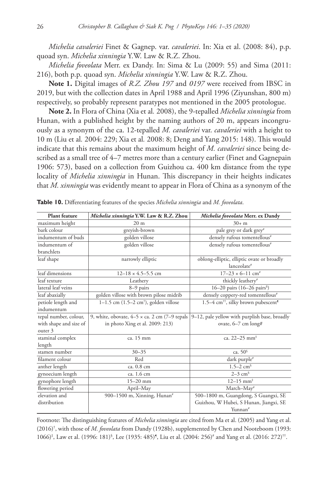*Michelia cavaleriei* Finet & Gagnep. var. *cavaleriei*. In: Xia et al. (2008: 84), p.p. quoad syn. *Michelia xinningia* Y.W. Law & R.Z. Zhou.

*Michelia foveolata* Merr. ex Dandy. In: Sima & Lu (2009: 55) and Sima (2011: 216), both p.p. quoad syn. *Michelia xinningia* Y.W. Law & R.Z. Zhou.

**Note 1.** Digital images of *R.Z. Zhou 197* and *0197* were received from IBSC in 2019, but with the collection dates in April 1988 and April 1996 (Ziyunshan, 800 m) respectively, so probably represent paratypes not mentioned in the 2005 protologue.

**Note 2.** In Flora of China (Xia et al*.* 2008), the 9-tepalled *Michelia xinningia* from Hunan, with a published height by the naming authors of 20 m, appears incongruously as a synonym of the ca. 12-tepalled *M. cavaleriei* var. *cavaleriei* with a height to 10 m (Liu et al*.* 2004: 229; Xia et al*.* 2008: 8; Deng and Yang 2015: 148). This would indicate that this remains about the maximum height of *M. cavaleriei* since being described as a small tree of  $4-7$  metres more than a century earlier (Finet and Gagnepain 1906: 573), based on a collection from Guizhou ca. 400 km distance from the type locality of *Michelia xinningia* in Hunan. This discrepancy in their heights indicates that *M. xinningia* was evidently meant to appear in Flora of China as a synonym of the

| <b>Plant</b> feature   | Michelia xinningia Y.W. Law & R.Z. Zhou                    | Michelia foveolata Merr. ex Dandy                           |
|------------------------|------------------------------------------------------------|-------------------------------------------------------------|
| maximum height         | 20 <sub>m</sub>                                            | $30 + m$                                                    |
| bark colour            | greyish-brown                                              | pale grey or dark grey#                                     |
| indumentum of buds     | golden villose                                             | densely rufous tomentellous#                                |
| indumentum of          | golden villose                                             | densely rufous tomentellous#                                |
| branchlets             |                                                            |                                                             |
| leaf shape             | narrowly elliptic                                          | oblong-elliptic, elliptic ovate or broadly<br>lanceolate#   |
| leaf dimensions        | $12-18 \times 4.5-5.5$ cm                                  | $17-23 \times 6-11$ cm <sup>#</sup>                         |
| leaf texture           | Leathery                                                   | thickly leathery#                                           |
| lateral leaf veins     | 8-9 pairs                                                  | 16-20 pairs (16-26 pairs <sup>§</sup> )                     |
| leaf abaxially         | golden villose with brown pilose midrib                    | densely coppery-red tomentellous#                           |
| petiole length and     | $1-1.5$ cm $(1.5-2 \text{ cm}^{\dagger})$ , golden villose | 1.5–4 cm <sup>++</sup> , silky brown pubescent <sup>9</sup> |
| indumentum             |                                                            |                                                             |
| tepal number, colour,  | 9, white, obovate, $4-5 \times$ ca. 2 cm $(7-9$ tepals     | 9–12, pale yellow with purplish base, broadly               |
| with shape and size of | in photo Xing et al. 2009: 213)                            | ovate, 6-7 cm long#                                         |
| outer 3                |                                                            |                                                             |
| staminal complex       | ca. 15 mm                                                  | ca. 22-25 mm <sup>#</sup>                                   |
| length                 |                                                            |                                                             |
| stamen number          | $30 - 35$                                                  | ca. $506$                                                   |
| filament colour        | Red                                                        | dark purple#                                                |
| anther length          | ca. 0.8 cm                                                 | $1.5 - 2$ cm <sup>§</sup>                                   |
| gynoecium length       | ca. 1.6 cm                                                 | $2-3$ cm <sup>§</sup>                                       |
| gynophore length       | $15 - 20$ mm                                               | $12 - 15$ mm <sup><math>\ddagger</math></sup>               |
| flowering period       | April-May                                                  | March-May#                                                  |
| elevation and          | 900–1500 m, Xinning, Hunan $*$                             | 500-1800 m, Guangdong, S Guangxi, SE                        |
| distribution           |                                                            | Guizhou, W Hubei, S Hunan, Jiangxi, SE                      |
|                        |                                                            | Yunnan#                                                     |

**Table 10.** Differentiating features of the species *Michelia xinningia* and *M. foveolata*.

Footnote: The distinguishing features of *Michelia xinningia* are cited from Ma et al. (2005) and Yang et al. (2016)† , with those of *M. foveolata* from Dandy (1928b), supplemented by Chen and Nooteboom (1993: 1066)‡ , Law et al. (1996: 181)§ , Lee (1935: 485)¶ , Liu et al. (2004: 256)# and Yang et al. (2016: 272)††.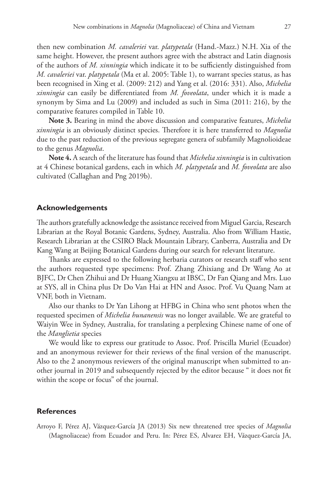then new combination *M. cavaleriei* var. *platypetala* (Hand.-Mazz.) N.H. Xia of the same height. However, the present authors agree with the abstract and Latin diagnosis of the authors of *M. xinningia* which indicate it to be sufficiently distinguished from *M. cavaleriei* var. *platypetala* (Ma et al. 2005: Table 1), to warrant species status, as has been recognised in Xing et al. (2009: 212) and Yang et al. (2016: 331). Also, *Michelia xinningia* can easily be differentiated from *M. foveolata*, under which it is made a synonym by Sima and Lu (2009) and included as such in Sima (2011: 216), by the comparative features compiled in Table 10.

**Note 3.** Bearing in mind the above discussion and comparative features, *Michelia xinningia* is an obviously distinct species. Therefore it is here transferred to *Magnolia* due to the past reduction of the previous segregate genera of subfamily Magnolioideae to the genus *Magnolia*.

**Note 4.** A search of the literature has found that *Michelia xinningia* is in cultivation at 4 Chinese botanical gardens, each in which *M. platypetala* and *M. foveolata* are also cultivated (Callaghan and Png 2019b).

#### **Acknowledgements**

The authors gratefully acknowledge the assistance received from Miguel Garcia, Research Librarian at the Royal Botanic Gardens, Sydney, Australia. Also from William Hastie, Research Librarian at the CSIRO Black Mountain Library, Canberra, Australia and Dr Kang Wang at Beijing Botanical Gardens during our search for relevant literature.

Thanks are expressed to the following herbaria curators or research staff who sent the authors requested type specimens: Prof. Zhang Zhixiang and Dr Wang Ao at BJFC, Dr Chen Zhihui and Dr Huang Xiangxu at IBSC, Dr Fan Qiang and Mrs. Luo at SYS, all in China plus Dr Do Van Hai at HN and Assoc. Prof. Vu Quang Nam at VNF, both in Vietnam.

Also our thanks to Dr Yan Lihong at HFBG in China who sent photos when the requested specimen of *Michelia hunanensis* was no longer available. We are grateful to Waiyin Wee in Sydney, Australia, for translating a perplexing Chinese name of one of the *Manglietia* species

We would like to express our gratitude to Assoc. Prof. Priscilla Muriel (Ecuador) and an anonymous reviewer for their reviews of the final version of the manuscript. Also to the 2 anonymous reviewers of the original manuscript when submitted to another journal in 2019 and subsequently rejected by the editor because " it does not fit within the scope or focus" of the journal.

#### **References**

Arroyo F, Pérez AJ, Vázquez-García JA (2013) Six new threatened tree species of *Magnolia* (Magnoliaceae) from Ecuador and Peru. In: Pérez ES, Alvarez EH, Vázquez-García JA,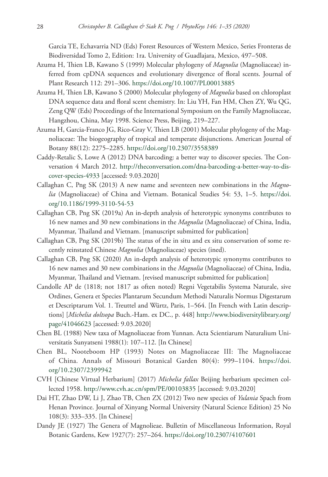Garcia TE, Echavarria ND (Eds) Forest Resources of Western Mexico, Series Fronteras de Biodiversidad Tomo 2, Edition: 1ra. University of Guadlajara, Mexico, 497–508.

- Azuma H, Thien LB, Kawano S (1999) Molecular phylogeny of *Magnolia* (Magnoliaceae) inferred from cpDNA sequences and evolutionary divergence of floral scents. Journal of Plant Research 112: 291–306. <https://doi.org/10.1007/PL00013885>
- Azuma H, Thien LB, Kawano S (2000) Molecular phylogeny of *Magnolia* based on chloroplast DNA sequence data and floral scent chemistry. In: Liu YH, Fan HM, Chen ZY, Wu QG, Zeng QW (Eds) Proceedings of the International Symposium on the Family Magnoliaceae, Hangzhou, China, May 1998. Science Press, Beijing, 219–227.
- Azuma H, Garcia-Franco JG, Rico-Gray V, Thien LB (2001) Molecular phylogeny of the Magnoliaceae: The biogeography of tropical and temperate disjunctions. American Journal of Botany 88(12): 2275–2285. <https://doi.org/10.2307/3558389>
- Caddy-Retalic S, Lowe A (2012) DNA barcoding: a better way to discover species. The Conversation 4 March 2012. [http://theconversation.com/dna-barcoding-a-better-way-to-dis](http://theconversation.com/dna-barcoding-a-better-way-to-discover-species-4933)[cover-species-4933](http://theconversation.com/dna-barcoding-a-better-way-to-discover-species-4933) [accessed: 9.03.2020]
- Callaghan C, Png SK (2013) A new name and seventeen new combinations in the *Magnolia* (Magnoliaceae) of China and Vietnam. Botanical Studies 54: 53, 1–5. [https://doi.](https://doi.org/10.1186/1999-3110-54-53) [org/10.1186/1999-3110-54-53](https://doi.org/10.1186/1999-3110-54-53)
- Callaghan CB, Png SK (2019a) An in-depth analysis of heterotypic synonyms contributes to 16 new names and 30 new combinations in the *Magnolia* (Magnoliaceae) of China, India, Myanmar, Thailand and Vietnam. [manuscript submitted for publication]
- Callaghan CB, Png SK (2019b) The status of the in situ and ex situ conservation of some recently reinstated Chinese *Magnolia* (Magnoliaceae) species (ined).
- Callaghan CB, Png SK (2020) An in-depth analysis of heterotypic synonyms contributes to 16 new names and 30 new combinations in the *Magnolia* (Magnoliaceae) of China, India, Myanmar, Thailand and Vietnam. [revised manuscript submitted for publication]
- Candolle AP de (1818; not 1817 as often noted) Regni Vegetabilis Systema Naturale, sive Ordines, Genera et Species Plantarum Secundum Methodi Naturalis Normus Digestarum et Descriptarum Vol. 1. Treuttel and Würtz, Paris, 1–564. [In French with Latin descriptions] [*Michelia doltsopa* Buch.-Ham. ex DC., p. 448] [http://www.biodiversitylibrary.org/](http://www.biodiversitylibrary.org/page/41046623) [page/41046623](http://www.biodiversitylibrary.org/page/41046623) [accessed: 9.03.2020]
- Chen BL (1988) New taxa of Magnoliaceae from Yunnan. Acta Scientiarum Naturalium Universitatis Sunyatseni 1988(1): 107–112. [In Chinese]
- Chen BL, Nooteboom HP (1993) Notes on Magnoliaceae III: The Magnoliaceae of China. Annals of Missouri Botanical Garden 80(4): 999–1104. [https://doi.](https://doi.org/10.2307/2399942) [org/10.2307/2399942](https://doi.org/10.2307/2399942)
- CVH [Chinese Virtual Herbarium] (2017) *Michelia fallax* Beijing herbarium specimen collected 1958.<http://www.cvh.ac.cn/spm/PE/00103835> [accessed: 9.03.2020]
- Dai HT, Zhao DW, Li J, Zhao TB, Chen ZX (2012) Two new species of *Yulania* Spach from Henan Province. Journal of Xinyang Normal University (Natural Science Edition) 25 No 108(3): 333–335. [In Chinese]
- Dandy JE (1927) The Genera of Magnolieae. Bulletin of Miscellaneous Information, Royal Botanic Gardens, Kew 1927(7): 257–264.<https://doi.org/10.2307/4107601>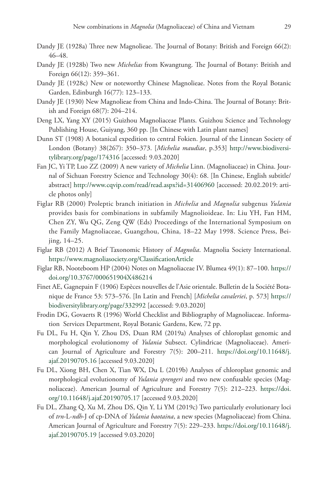- Dandy JE (1928a) Three new Magnolieae. The Journal of Botany: British and Foreign 66(2): 46–48.
- Dandy JE (1928b) Two new *Michelias* from Kwangtung. The Journal of Botany: British and Foreign 66(12): 359–361.
- Dandy JE (1928c) New or noteworthy Chinese Magnolieae. Notes from the Royal Botanic Garden, Edinburgh 16(77): 123–133.
- Dandy JE (1930) New Magnolieae from China and Indo-China. The Journal of Botany: British and Foreign 68(7): 204–214.
- Deng LX, Yang XY (2015) Guizhou Magnoliaceae Plants. Guizhou Science and Technology Publishing House, Guiyang, 360 pp. [In Chinese with Latin plant names]
- Dunn ST (1908) A botanical expedition to central Fokien. Journal of the Linnean Society of London (Botany) 38(267): 350–373. [*Michelia maudiae*, p.353] [http://www.biodiversi](http://www.biodiversitylibrary.org/page/174316)[tylibrary.org/page/174316](http://www.biodiversitylibrary.org/page/174316) [accessed: 9.03.2020]
- Fan JC, Yi TP, Luo ZZ (2009) A new variety of *Michelia* Linn. (Magnoliaceae) in China. Journal of Sichuan Forestry Science and Technology 30(4): 68. [In Chinese, English subtitle/ abstract] <http://www.cqvip.com/read/read.aspx?id=31406960> [accessed: 20.02.2019: article photos only]
- Figlar RB (2000) Proleptic branch initiation in *Michelia* and *Magnolia* subgenus *Yulania* provides basis for combinations in subfamily Magnolioideae. In: Liu YH, Fan HM, Chen ZY, Wu QG, Zeng QW (Eds) Proceedings of the International Symposium on the Family Magnoliaceae, Guangzhou, China, 18–22 May 1998. Science Press, Beijing, 14–25.
- Figlar RB (2012) A Brief Taxonomic History of *Magnolia*. Magnolia Society International. <https://www.magnoliasociety.org/ClassificationArticle>
- Figlar RB, Nooteboom HP (2004) Notes on Magnoliaceae IV. Blumea 49(1): 87–100. [https://](https://doi.org/10.3767/000651904X486214) [doi.org/10.3767/000651904X486214](https://doi.org/10.3767/000651904X486214)
- Finet AE, Gagnepain F (1906) Espèces nouvelles de l'Asie orientale. Bulletin de la Société Botanique de France 53: 573–576. [In Latin and French] [*Michelia cavaleriei*, p. 573] [https://](https://biodiversitylibrary.org/page/332992) [biodiversitylibrary.org/page/332992](https://biodiversitylibrary.org/page/332992) [accessed: 9.03.2020]
- Frodin DG, Govaerts R (1996) World Checklist and Bibliography of Magnoliaceae. Information Services Department, Royal Botanic Gardens, Kew, 72 pp.
- Fu DL, Fu H, Qin Y, Zhou DS, Duan RM (2019a) Analyses of chloroplast genomic and morphological evolutionomy of *Yulania* Subsect. Cylindricae (Magnoliaceae). American Journal of Agriculture and Forestry 7(5): 200–211. [https://doi.org/10.11648/j.](https://doi.org/10.11648/j.ajaf.20190705.16) [ajaf.20190705.16](https://doi.org/10.11648/j.ajaf.20190705.16) [accessed 9.03.2020]
- Fu DL, Xiong BH, Chen X, Tian WX, Du L (2019b) Analyses of chloroplast genomic and morphological evolutionomy of *Yulania sprengeri* and two new confusable species (Magnoliaceae). American Journal of Agriculture and Forestry 7(5): 212–223. [https://doi.](https://doi.org/10.11648/j.ajaf.20190705.17) [org/10.11648/j.ajaf.20190705.17](https://doi.org/10.11648/j.ajaf.20190705.17) [accessed 9.03.2020]
- Fu DL, Zhang Q, Xu M, Zhou DS, Qin Y, Li YM (2019c) Two particularly evolutionary loci of *trn*-L-*ndh*-J of cp-DNA of *Yulania baotaina*, a new species (Magnoliaceae) from China. American Journal of Agriculture and Forestry 7(5): 229–233. [https://doi.org/10.11648/j.](https://doi.org/10.11648/j.ajaf.20190705.19) [ajaf.20190705.19](https://doi.org/10.11648/j.ajaf.20190705.19) [accessed 9.03.2020]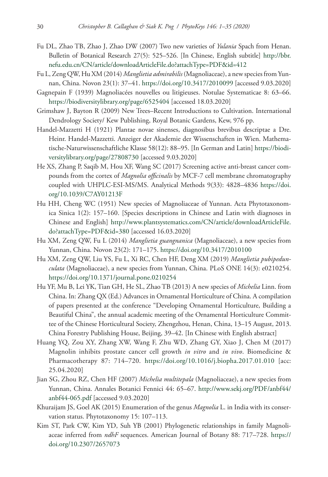- Fu DL, Zhao TB, Zhao J, Zhao DW (2007) Two new varieties of *Yulania* Spach from Henan. Bulletin of Botanical Research 27(5): 525–526. [In Chinese, English subtitle] [http://bbr.](http://bbr.nefu.edu.cn/CN/article/downloadArticleFile.do?attachType=PDF&id=412) [nefu.edu.cn/CN/article/downloadArticleFile.do?attachType=PDF&id=412](http://bbr.nefu.edu.cn/CN/article/downloadArticleFile.do?attachType=PDF&id=412)
- Fu L, Zeng QW, Hu XM (2014) *Manglietia admirabilis* (Magnoliaceae), a new species from Yunnan, China. Novon 23(1): 37–41.<https://doi.org/10.3417/2010099>[accessed 9.03.2020]
- Gagnepain F (1939) Magnoliacées nouvelles ou litigieuses. Notulae Systematicae 8: 63–66. <https://biodiversitylibrary.org/page/6525404>[accessed 18.03.2020]
- Grimshaw J, Bayton R (2009) New Trees–Recent Introductions to Cultivation. International Dendrology Society/ Kew Publishing, Royal Botanic Gardens, Kew, 976 pp.
- Handel-Mazzetti H (1921) Plantae novae sinenses, diagnosibus brevibus descriptae a Dre. Heinr. Handel-Mazzetti. Anzeiger der Akademie der Wissenschaften in Wien. Mathematische-Naturwissenschaftliche Klasse 58(12): 88–95. [In German and Latin] [https://biodi](https://biodiversitylibrary.org/page/27808730)[versitylibrary.org/page/27808730](https://biodiversitylibrary.org/page/27808730) [accessed 9.03.2020]
- He XS, Zhang P, Saqib M, Hou XF, Wang SC (2017) Screening active anti-breast cancer compounds from the cortex of *Magnolia officinalis* by MCF-7 cell membrane chromatography coupled with UHPLC-ESI-MS/MS. Analytical Methods 9(33): 4828–4836 [https://doi.](https://doi.org/10.1039/C7AY01213F) [org/10.1039/C7AY01213F](https://doi.org/10.1039/C7AY01213F)
- Hu HH, Cheng WC (1951) New species of Magnoliaceae of Yunnan. Acta Phytotaxonomica Sinica 1(2): 157–160. [Species descriptions in Chinese and Latin with diagnoses in Chinese and English] [http://www.plantsystematics.com/CN/article/downloadArticleFile.](http://www.plantsystematics.com/CN/article/downloadArticleFile.do?attachType=PDF&id=380) [do?attachType=PDF&id=380](http://www.plantsystematics.com/CN/article/downloadArticleFile.do?attachType=PDF&id=380) [accessed 16.03.2020]
- Hu XM, Zeng QW, Fu L (2014) *Manglietia guangnanica* (Magnoliaceae), a new species from Yunnan, China. Novon 23(2): 171–175. <https://doi.org/10.3417/2010100>
- Hu XM, Zeng QW, Liu YS, Fu L, Xi RC, Chen HF, Deng XM (2019) *Manglietia pubipedunculata* (Magnoliaceae), a new species from Yunnan, China. PLoS ONE 14(3): e0210254. <https://doi.org/10.1371/journal.pone.0210254>
- Hu YF, Mu B, Lei YK, Tian GH, He SL, Zhao TB (2013) A new species of *Michelia* Linn. from China. In: Zhang QX (Ed.) Advances in Ornamental Horticulture of China. A compilation of papers presented at the conference "Developing Ornamental Horticulture, Building a Beautiful China", the annual academic meeting of the Ornamental Horticulture Committee of the Chinese Horticultural Society, Zhengzhou, Henan, China, 13–15 August, 2013. China Forestry Publishing House, Beijing, 39–42. [In Chinese with English abstract]
- Huang YQ, Zou XY, Zhang XW, Wang F, Zhu WD, Zhang GY, Xiao J, Chen M (2017) Magnolin inhibits prostate cancer cell growth *in vitro* and *in vivo*. Biomedicine & Pharmacotherapy 87: 714–720. <https://doi.org/10.1016/j.biopha.2017.01.010>[acc: 25.04.2020]
- Jian SG, Zhou RZ, Chen HF (2007) *Michelia multitepala* (Magnoliaceae), a new species from Yunnan, China. Annales Botanici Fennici 44: 65–67. [http://www.sekj.org/PDF/anbf44/](http://www.sekj.org/PDF/anbf44/anbf44-065.pdf) [anbf44-065.pdf](http://www.sekj.org/PDF/anbf44/anbf44-065.pdf) [accessed 9.03.2020]
- Khuraijam JS, Goel AK (2015) Enumeration of the genus *Magnolia* L. in India with its conservation status. Phytotaxonomy 15: 107–113.
- Kim ST, Park CW, Kim YD, Suh YB (2001) Phylogenetic relationships in family Magnoliaceae inferred from *ndhF* sequences. American Journal of Botany 88: 717–728. [https://](https://doi.org/10.2307/2657073) [doi.org/10.2307/2657073](https://doi.org/10.2307/2657073)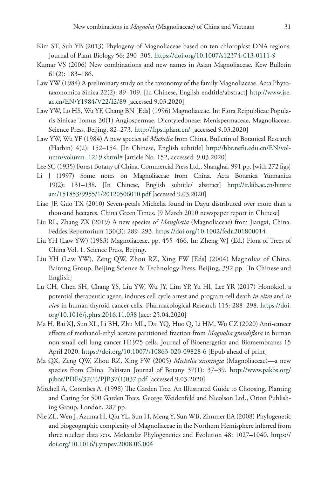- Kim ST, Suh YB (2013) Phylogeny of Magnoliaceae based on ten chloroplast DNA regions. Journal of Plant Biology 56: 290–305.<https://doi.org/10.1007/s12374-013-0111-9>
- Kumar VS (2006) New combinations and new names in Asian Magnoliaceae. Kew Bulletin 61(2): 183–186.
- Law YW (1984) A preliminary study on the taxonomy of the family Magnoliaceae. Acta Phytotaxonomica Sinica 22(2): 89–109. [In Chinese, English endtitle/abstract] [http://www.jse.](http://www.jse.ac.cn/EN/Y1984/V22/I2/89) [ac.cn/EN/Y1984/V22/I2/89](http://www.jse.ac.cn/EN/Y1984/V22/I2/89) [accessed 9.03.2020]
- Law YW, Lo HS, Wu YF, Chang BN [Eds] (1996) Magnoliaceae. In: Flora Reipublicae Popularis Sinicae Tomus 30(1) Angiospermae, Dicotyledoneae: Menispermaceae, Magnoliaceae. Science Press, Beijing, 82–273. <http://frps.iplant.cn/>[accessed 9.03.2020]
- Law YW, Wu YF (1984) A new species of *Michelia* from China. Bulletin of Botanical Research (Harbin) 4(2): 152–154. [In Chinese, English subtitle] [http://bbr.nefu.edu.cn/EN/vol](http://bbr.nefu.edu.cn/EN/volumn/volumn_1219.shtml#)[umn/volumn\\_1219.shtml#](http://bbr.nefu.edu.cn/EN/volumn/volumn_1219.shtml#) [article No. 152, accessed: 9.03.2020]
- Lee SC (1935) Forest Botany of China. Commercial Press Ltd., Shanghai, 991 pp. [with 272 figs]
- Li J (1997) Some notes on Magnoliaceae from China. Acta Botanica Yunnanica 19(2): 131–138. [In Chinese, English subtitle/ abstract] [http://ir.kib.ac.cn/bitstre](http://ir.kib.ac.cn/bitstream/151853/9955/1/20120506010.pdf) [am/151853/9955/1/20120506010.pdf](http://ir.kib.ac.cn/bitstream/151853/9955/1/20120506010.pdf) [accessed 9.03.2020]
- Liao JF, Guo TX (2010) Seven-petals Michelia found in Dayu distributed over more than a thousand hectares. China Green Times. [9 March 2010 newspaper report in Chinese]
- Liu RL, Zhang ZX (2019) A new species of *Manglietia* (Magnoliaceae) from Jiangxi, China. Feddes Repertorium 130(3): 289–293. <https://doi.org/10.1002/fedr.201800014>
- Liu YH (Law YW) (1983) Magnoliaceae. pp. 455–466. In: Zheng WJ (Ed.) Flora of Trees of China Vol. 1. Science Press, Beijing.
- Liu YH (Law YW), Zeng QW, Zhou RZ, Xing FW [Eds] (2004) Magnolias of China. Baitong Group, Beijing Science & Technology Press, Beijing, 392 pp. [In Chinese and English]
- Lu CH, Chen SH, Chang YS, Liu YW, Wu JY, Lim YP, Yu HI, Lee YR (2017) Honokiol, a potential therapeutic agent, induces cell cycle arrest and program cell death *in vitro* and *in vivo* in human thyroid cancer cells. Pharmacological Research 115: 288–298. [https://doi.](https://doi.org/10.1016/j.phrs.2016.11.038) [org/10.1016/j.phrs.2016.11.038](https://doi.org/10.1016/j.phrs.2016.11.038) [acc: 25.04.2020]
- Ma H, Bai XJ, Sun XL, Li BH, Zhu ML, Dai YQ, Huo Q, Li HM, Wu CZ (2020) Anti-cancer effects of methanol-ethyl acetate partitioned fraction from *Magnolia grandiflora* in human non-small cell lung cancer H1975 cells. Journal of Bioenergetics and Biomembranes 15 April 2020.<https://doi.org/10.1007/s10863-020-09828-6>[Epub ahead of print]
- Ma QX, Zeng QW, Zhou RZ, Xing FW (2005) *Michelia xinningia* (Magnoliaceae)—a new species from China. Pakistan Journal of Botany 37(1): 37–39. [http://www.pakbs.org/](http://www.pakbs.org/pjbot/PDFs/37(1)/PJB37(1)037.pdf) [pjbot/PDFs/37\(1\)/PJB37\(1\)037.pdf](http://www.pakbs.org/pjbot/PDFs/37(1)/PJB37(1)037.pdf) [accessed 9.03.2020]
- Mitchell A, Coombes A. (1998) The Garden Tree. An Illustrated Guide to Choosing, Planting and Caring for 500 Garden Trees. George Weidenfeld and Nicolson Ltd., Orion Publishing Group, London, 287 pp.
- Nie ZL, Wen J, Azuma H, Qiu YL, Sun H, Meng Y, Sun WB, Zimmer EA (2008) Phylogenetic and biogeographic complexity of Magnoliaceae in the Northern Hemisphere inferred from three nuclear data sets. Molecular Phylogenetics and Evolution 48: 1027–1040. [https://](https://doi.org/10.1016/j.ympev.2008.06.004) [doi.org/10.1016/j.ympev.2008.06.004](https://doi.org/10.1016/j.ympev.2008.06.004)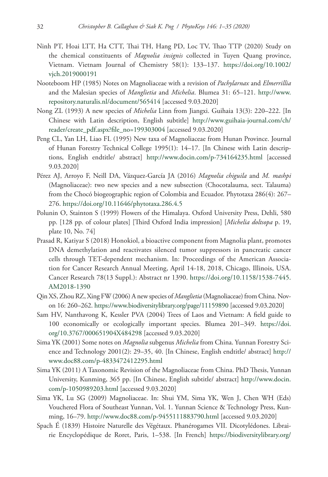- Ninh PT, Hoai LTT, Ha CTT, Thai TH, Hang PD, Loc TV, Thao TTP (2020) Study on the chemical constituents of *Magnolia insignis* collected in Tuyen Quang province, Vietnam. Vietnam Journal of Chemistry 58(1): 133–137. [https://doi.org/10.1002/](https://doi.org/10.1002/vjch.2019000191) [vjch.2019000191](https://doi.org/10.1002/vjch.2019000191)
- Nooteboom HP (1985) Notes on Magnoliaceae with a revision of *Pachylarnax* and *Elmerrillia* and the Malesian species of *Manglietia* and *Michelia*. Blumea 31: 65–121. [http://www.](http://www.repository.naturalis.nl/document/565414) [repository.naturalis.nl/document/565414](http://www.repository.naturalis.nl/document/565414) [accessed 9.03.2020]
- Nong ZL (1993) A new species of *Michelia* Linn from Jiangxi. Guihaia 13(3): 220–222. [In Chinese with Latin description, English subtitle] [http://www.guihaia-journal.com/ch/](http://www.guihaia-journal.com/ch/reader/create_pdf.aspx?file_no=199303004) [reader/create\\_pdf.aspx?file\\_no=199303004](http://www.guihaia-journal.com/ch/reader/create_pdf.aspx?file_no=199303004) [accessed 9.03.2020]
- Peng CL, Yan LH, Liao FL (1995) New taxa of Magnoliaceae from Hunan Province. Journal of Hunan Forestry Technical College 1995(1): 14–17. [In Chinese with Latin descriptions, English endtitle/ abstract] <http://www.docin.com/p-734164235.html>[accessed 9.03.2020]
- Pérez AJ, Arroyo F, Neill DA, Vázquez-García JA (2016) *Magnolia chiguila* and *M. mashpi* (Magnoliaceae): two new species and a new subsection (Chocotalauma, sect. Talauma) from the Chocó biogeographic region of Colombia and Ecuador. Phytotaxa 286(4): 267– 276.<https://doi.org/10.11646/phytotaxa.286.4.5>
- Polunin O, Stainton S (1999) Flowers of the Himalaya. Oxford University Press, Dehli, 580 pp. [128 pp. of colour plates] [Third Oxford India impression] [*Michelia doltsopa* p. 19, plate 10, No. 74]
- Prasad R, Katiyar S (2018) Honokiol, a bioactive component from Magnolia plant, promotes DNA demethylation and reactivates silenced tumor suppressors in pancreatic cancer cells through TET-dependent mechanism. In: Proceedings of the American Association for Cancer Research Annual Meeting, April 14-18, 2018, Chicago, Illinois, USA. Cancer Research 78(13 Suppl.): Abstract nr 1390. [https://doi.org/10.1158/1538-7445.](https://doi.org/10.1158/1538-7445.AM2018-1390) [AM2018-1390](https://doi.org/10.1158/1538-7445.AM2018-1390)
- Qin XS, Zhou RZ, Xing FW (2006) A new species of *Manglietia* (Magnoliaceae) from China. Novon 16: 260–262. <https://www.biodiversitylibrary.org/page/11159890> [accessed 9.03.2020]
- Sam HV, Nanthavong K, Kessler PVA (2004) Trees of Laos and Vietnam: A field guide to 100 economically or ecologically important species. Blumea 201–349. [https://doi.](https://doi.org/10.3767/000651904X484298) [org/10.3767/000651904X484298](https://doi.org/10.3767/000651904X484298) [accessed 9.03.2020]
- Sima YK (2001) Some notes on *Magnolia* subgenus *Michelia* from China. Yunnan Forestry Science and Technology 2001(2): 29–35, 40. [In Chinese, English endtitle/ abstract] [http://](http://www.doc88.com/p-4833472412295.html) [www.doc88.com/p-4833472412295.html](http://www.doc88.com/p-4833472412295.html)
- Sima YK (2011) A Taxonomic Revision of the Magnoliaceae from China. PhD Thesis, Yunnan University, Kunming, 365 pp. [In Chinese, English subtitle/ abstract] [http://www.docin.](http://www.docin.com/p-1050989203.html) [com/p-1050989203.html](http://www.docin.com/p-1050989203.html) [accessed 9.03.2020]
- Sima YK, Lu SG (2009) Magnoliaceae. In: Shui YM, Sima YK, Wen J, Chen WH (Eds) Vouchered Flora of Southeast Yunnan, Vol. 1. Yunnan Science & Technology Press, Kunming, 16–79. <http://www.doc88.com/p-9455111883790.html> [accessed 9.03.2020]
- Spach É (1839) Histoire Naturelle des Végétaux. Phanérogames VII. Dicotylédones. Librairie Encyclopédique de Roret, Paris, 1–538. [In French] [https://biodiversitylibrary.org/](https://biodiversitylibrary.org/page/31485519)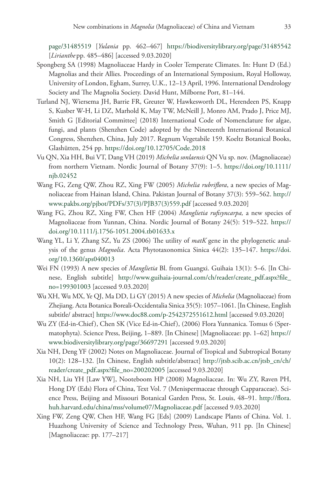[page/31485519](https://biodiversitylibrary.org/page/31485519) [*Yulania* pp. 462–467] <https://biodiversitylibrary.org/page/31485542> [*Lirianthe* pp. 485–486] [accessed 9.03.2020]

- Spongberg SA (1998) Magnoliaceae Hardy in Cooler Temperate Climates. In: Hunt D (Ed.) Magnolias and their Allies. Proceedings of an International Symposium, Royal Holloway, University of London, Egham, Surrey, U.K., 12–13 April, 1996. International Dendrology Society and The Magnolia Society. David Hunt, Milborne Port, 81–144.
- Turland NJ, Wiersema JH, Barrie FR, Greuter W, Hawkesworth DL, Herendeen PS, Knapp S, Kusber W-H, Li DZ, Marhold K, May TW, McNeill J, Monro AM, Prado J, Price MJ, Smith G [Editorial Committee] (2018) International Code of Nomenclature for algae, fungi, and plants (Shenzhen Code) adopted by the Nineteenth International Botanical Congress, Shenzhen, China, July 2017. Regnum Vegetabile 159. Koeltz Botanical Books, Glashütten, 254 pp. <https://doi.org/10.12705/Code.2018>
- Vu QN, Xia HH, Bui VT, Dang VH (2019) *Michelia sonlaensis* QN Vu sp. nov. (Magnoliaceae) from northern Vietnam. Nordic Journal of Botany 37(9): 1–5. [https://doi.org/10.1111/](https://doi.org/10.1111/njb.02452) [njb.02452](https://doi.org/10.1111/njb.02452)
- Wang FG, Zeng QW, Zhou RZ, Xing FW (2005) *Michelia rubriflora*, a new species of Magnoliaceae from Hainan Island, China. Pakistan Journal of Botany 37(3): 559–562. [http://](http://www.pakbs.org/pjbot/PDFs/37(3)/PJB37(3)559.pdf) [www.pakbs.org/pjbot/PDFs/37\(3\)/PJB37\(3\)559.pdf](http://www.pakbs.org/pjbot/PDFs/37(3)/PJB37(3)559.pdf) [accessed 9.03.2020]
- Wang FG, Zhou RZ, Xing FW, Chen HF (2004) *Manglietia rufisyncarpa,* a new species of Magnoliaceae from Yunnan, China. Nordic Journal of Botany 24(5): 519–522. [https://](https://doi.org/10.1111/j.1756-1051.2004.tb01633.x) [doi.org/10.1111/j.1756-1051.2004.tb01633.x](https://doi.org/10.1111/j.1756-1051.2004.tb01633.x)
- Wang YL, Li Y, Zhang SZ, Yu ZS (2006) The utility of *matK* gene in the phylogenetic analysis of the genus *Magnolia*. Acta Phytotaxonomica Sinica 44(2): 135–147. [https://doi.](https://doi.org/10.1360/aps040013) [org/10.1360/aps040013](https://doi.org/10.1360/aps040013)
- Wei FN (1993) A new species of *Manglietia* Bl. from Guangxi. Guihaia 13(1): 5–6. [In Chinese, English subtitle] [http://www.guihaia-journal.com/ch/reader/create\\_pdf.aspx?file\\_](http://www.guihaia-journal.com/ch/reader/create_pdf.aspx?file_no=199301003) [no=199301003](http://www.guihaia-journal.com/ch/reader/create_pdf.aspx?file_no=199301003) [accessed 9.03.2020]
- Wu XH, Wu MX, Ye QJ, Ma DD, Li GY (2015) A new species of *Michelia* (Magnoliaceae) from Zhejiang. Acta Botanica Boreali-Occidentalia Sinica 35(5): 1057–1061. [In Chinese, English subtitle/ abstract]<https://www.doc88.com/p-2542372551612.html>[accessed 9.03.2020]
- Wu ZY (Ed-in-Chief), Chen SK (Vice Ed-in-Chief), (2006) Flora Yunnanica. Tomus 6 (Spermatophyta). Science Press, Beijing, 1–889. [In Chinese] [Magnoliaceae: pp. 1–62] [https://](https://www.biodiversitylibrary.org/page/36697291) [www.biodiversitylibrary.org/page/36697291](https://www.biodiversitylibrary.org/page/36697291) [accessed 9.03.2020]
- Xia NH, Deng YF (2002) Notes on Magnoliaceae. Journal of Tropical and Subtropical Botany 10(2): 128–132. [In Chinese, English subtitle/abstract] [http://jtsb.scib.ac.cn/jtsb\\_cn/ch/](http://jtsb.scib.ac.cn/jtsb_cn/ch/reader/create_pdf.aspx?file_no=200202005) [reader/create\\_pdf.aspx?file\\_no=200202005](http://jtsb.scib.ac.cn/jtsb_cn/ch/reader/create_pdf.aspx?file_no=200202005) [accessed 9.03.2020]
- Xia NH, Liu YH [Law YW], Nooteboom HP (2008) Magnoliaceae. In: Wu ZY, Raven PH, Hong DY (Eds) Flora of China, Text Vol. 7 (Menispermaceae through Capparaceae). Science Press, Beijing and Missouri Botanical Garden Press, St. Louis, 48–91. [http://flora.](http://flora.huh.harvard.edu/china/mss/volume07/Magnoliaceae.pdf) [huh.harvard.edu/china/mss/volume07/Magnoliaceae.pdf](http://flora.huh.harvard.edu/china/mss/volume07/Magnoliaceae.pdf) [accessed 9.03.2020]
- Xing FW, Zeng QW, Chen HF, Wang FG [Eds] (2009) Landscape Plants of China. Vol. 1. Huazhong University of Science and Technology Press, Wuhan, 911 pp. [In Chinese] [Magnoliaceae: pp. 177–217]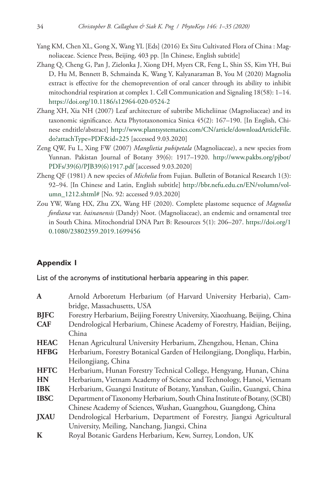- Yang KM, Chen XL, Gong X, Wang YL [Eds] (2016) Ex Situ Cultivated Flora of China : Magnoliaceae. Science Press, Beijing, 403 pp. [In Chinese, English subtitle]
- Zhang Q, Cheng G, Pan J, Zielonka J, Xiong DH, Myers CR, Feng L, Shin SS, Kim YH, Bui D, Hu M, Bennett B, Schmainda K, Wang Y, Kalyanaraman B, You M (2020) Magnolia extract is effective for the chemoprevention of oral cancer through its ability to inhibit mitochondrial respiration at complex 1. Cell Communication and Signaling 18(58): 1–14. <https://doi.org/10.1186/s12964-020-0524-2>
- Zhang XH, Xia NH (2007) Leaf architecture of subtribe Micheliinae (Magnoliaceae) and its taxonomic significance. Acta Phytotaxonomica Sinica 45(2): 167–190. [In English, Chinese endtitle/abstract] [http://www.plantsystematics.com/CN/article/downloadArticleFile.](http://www.plantsystematics.com/CN/article/downloadArticleFile.do?attachType=PDF&id=225) [do?attachType=PDF&id=225](http://www.plantsystematics.com/CN/article/downloadArticleFile.do?attachType=PDF&id=225) [accessed 9.03.2020]
- Zeng QW, Fu L, Xing FW (2007) *Manglietia pubipetala* (Magnoliaceae), a new species from Yunnan. Pakistan Journal of Botany 39(6): 1917–1920. [http://www.pakbs.org/pjbot/](http://www.pakbs.org/pjbot/PDFs/39(6)/PJB39(6)1917.pdf) [PDFs/39\(6\)/PJB39\(6\)1917.pdf](http://www.pakbs.org/pjbot/PDFs/39(6)/PJB39(6)1917.pdf) [accessed 9.03.2020]
- Zheng QF (1981) A new species of *Michelia* from Fujian. Bulletin of Botanical Research 1(3): 92–94. [In Chinese and Latin, English subtitle] [http://bbr.nefu.edu.cn/EN/volumn/vol](http://bbr.nefu.edu.cn/EN/volumn/volumn_1212.shtml#)[umn\\_1212.shtml#](http://bbr.nefu.edu.cn/EN/volumn/volumn_1212.shtml#) [No. 92: accessed 9.03.2020]
- Zou YW, Wang HX, Zhu ZX, Wang HF (2020). Complete plastome sequence of *Magnolia fordiana* var. *hainanensis* (Dandy) Noot. (Magnoliaceae), an endemic and ornamental tree in South China. Mitochondrial DNA Part B: Resources 5(1): 206–207. [https://doi.org/1](https://doi.org/10.1080/23802359.2019.1699456) [0.1080/23802359.2019.1699456](https://doi.org/10.1080/23802359.2019.1699456)

### **Appendix 1**

List of the acronyms of institutional herbaria appearing in this paper.

| $\mathbf{A}$ | Arnold Arboretum Herbarium (of Harvard University Herbaria), Cam-           |
|--------------|-----------------------------------------------------------------------------|
|              | bridge, Massachusetts, USA                                                  |
| <b>BJFC</b>  | Forestry Herbarium, Beijing Forestry University, Xiaozhuang, Beijing, China |
| <b>CAF</b>   | Dendrological Herbarium, Chinese Academy of Forestry, Haidian, Beijing,     |
|              | China                                                                       |
| <b>HEAC</b>  | Henan Agricultural University Herbarium, Zhengzhou, Henan, China            |
| <b>HFBG</b>  | Herbarium, Forestry Botanical Garden of Heilongjiang, Dongliqu, Harbin,     |
|              | Heilongjiang, China                                                         |
| <b>HFTC</b>  | Herbarium, Hunan Forestry Technical College, Hengyang, Hunan, China         |
| <b>HN</b>    | Herbarium, Vietnam Academy of Science and Technology, Hanoi, Vietnam        |
| <b>IBK</b>   | Herbarium, Guangxi Institute of Botany, Yanshan, Guilin, Guangxi, China     |
| <b>IBSC</b>  | Department of Taxonomy Herbarium, South China Institute of Botany, (SCBI)   |
|              | Chinese Academy of Sciences, Wushan, Guangzhou, Guangdong, China            |
| <b>JXAU</b>  | Dendrological Herbarium, Department of Forestry, Jiangxi Agricultural       |
|              | University, Meiling, Nanchang, Jiangxi, China                               |
| $\mathbf K$  | Royal Botanic Gardens Herbarium, Kew, Surrey, London, UK                    |